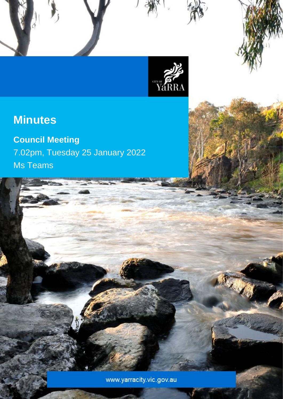

Council Meeting Minutes – 25 January 2022

# **Minutes**

**Council Meeting** 7.02pm, Tuesday 25 January 2022 Ms Teams

www.yarracity.vic.gov.au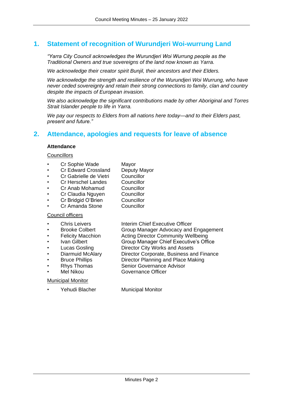## **1. Statement of recognition of Wurundjeri Woi-wurrung Land**

*"Yarra City Council acknowledges the Wurundjeri Woi Wurrung people as the Traditional Owners and true sovereigns of the land now known as Yarra.*

*We acknowledge their creator spirit Bunjil, their ancestors and their Elders.*

*We acknowledge the strength and resilience of the Wurundjeri Woi Wurrung, who have never ceded sovereignty and retain their strong connections to family, clan and country despite the impacts of European invasion.*

*We also acknowledge the significant contributions made by other Aboriginal and Torres Strait Islander people to life in Yarra.*

*We pay our respects to Elders from all nations here today—and to their Elders past, present and future."*

## **2. Attendance, apologies and requests for leave of absence**

#### **Attendance**

#### **Councillors**

- Cr Sophie Wade Mayor
- Cr Edward Crossland Deputy Mayor
- Cr Gabrielle de Vietri Councillor
- Cr Herschel Landes Councillor
- Cr Anab Mohamud Councillor
- Cr Claudia Nguyen Councillor
	- Cr Bridgid O'Brien Councillor
- Cr Amanda Stone Councillor

#### Council officers

- 
- 
- 
- 
- 
- 
- 
- 
- 

#### Municipal Monitor

Yehudi Blacher Municipal Monitor

**Chris Leivers Interim Chief Executive Officer** 

- Brooke Colbert Group Manager Advocacy and Engagement
- Felicity Macchion Acting Director Community Wellbeing
- Ivan Gilbert Group Manager Chief Executive's Office
- Lucas Gosling Director City Works and Assets
- Diarmuid McAlary Director Corporate, Business and Finance
- Bruce Phillips Director Planning and Place Making
- **Rhys Thomas Senior Governance Advisor**
- Mel Nikou Governance Officer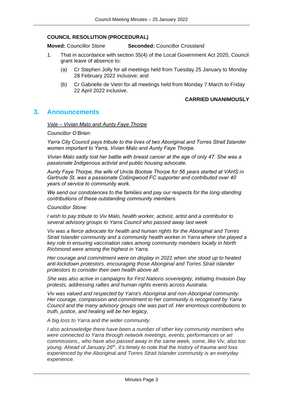#### **COUNCIL RESOLUTION (PROCEDURAL)**

**Moved:** Councillor Stone **Seconded:** Councillor Crossland

- 1. That in accordance with section 35(4) of the Local Government Act 2020, Council grant leave of absence to:
	- (a) Cr Stephen Jolly for all meetings held from Tuesday 25 January to Monday 28 February 2022 inclusive; and
	- (b) Cr Gabrielle de Vietri for all meetings held from Monday 7 March to Friday 22 April 2022 inclusive.

#### **CARRIED UNANIMOUSLY**

### **3. Announcements**

*Vale – Vivian Malo and Aunty Faye Thorpe*

*Councillor O'Brien:*

*Yarra City Council pays tribute to the lives of two Aboriginal and Torres Strait Islander women important to Yarra, Vivian Malo and Aunty Faye Thorpe.*

*Vivian Malo sadly lost her battle with breast cancer at the age of only 47. She was a passionate Indigenous activist and public housing advocate.*

*Aunty Faye Thorpe, the wife of Uncle Bootsie Thorpe for 56 years started at VAHS in Gertrude St, was a passionate Collingwood FC supporter and contributed over 40 years of service to community work.*

*We send our condolences to the families and pay our respects for the long-standing contributions of these outstanding community members.*

*Councillor Stone:*

*I wish to pay tribute to Viv Malo, health worker, activist, artist and a contributor to several advisory groups to Yarra Council who passed away last week*

*Viv was a fierce advocate for health and human rights for the Aboriginal and Torres Strait Islander community and a community health worker in Yarra where she played a key role in ensuring vaccination rates among community members locally in North Richmond were among the highest in Yarra.*

*Her courage and commitment were on display in 2021 when she stood up to heated anti-lockdown protestors, encouraging those Aboriginal and Torres Strait islander protestors to consider their own health above all.*

*She was also active in campaigns for First Nations sovereignty, initiating Invasion Day protests, addressing rallies and human rights events across Australia.*

*Viv was valued and respected by Yarra's Aboriginal and non-Aboriginal community. Her courage, compassion and commitment to her community is recognised by Yarra Council and the many advisory groups she was part of. Her enormous contributions to truth, justice, and healing will be her legacy,*

*A big loss to Yarra and the wider community.*

*I also acknowledge there have been a number of other key community members who were connected to Yarra through network meetings, events, performances or art commissions., who have also passed away in the same week, some, like Viv, also too young. Ahead of January 26th, it's timely to note that the history of trauma and loss experienced by the Aboriginal and Torres Strait Islander community is an everyday experience.*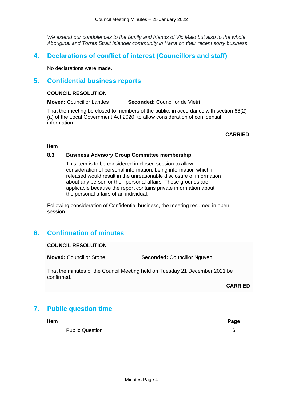*We extend our condolences to the family and friends of Vic Malo but also to the whole Aboriginal and Torres Strait Islander community in Yarra on their recent sorry business.*

## **4. Declarations of conflict of interest (Councillors and staff)**

No declarations were made.

## **5. Confidential business reports**

#### **COUNCIL RESOLUTION**

**Moved:** Councillor Landes **Seconded:** Councillor de Vietri

That the meeting be closed to members of the public, in accordance with section 66(2) (a) of the Local Government Act 2020, to allow consideration of confidential information.

**CARRIED**

#### **Item**

#### **8.3 Business Advisory Group Committee membership**

This item is to be considered in closed session to allow consideration of personal information, being information which if released would result in the unreasonable disclosure of information about any person or their personal affairs. These grounds are applicable because the report contains private information about the personal affairs of an individual.

Following consideration of Confidential business, the meeting resumed in open session.

## **6. Confirmation of minutes**

#### **COUNCIL RESOLUTION**

**Moved:** Councillor Stone **Seconded:** Councillor Nguyen

That the minutes of the Council Meeting held on Tuesday 21 December 2021 be confirmed.

**CARRIED**

## **7. Public question time**

**Item Page**

Public Question 6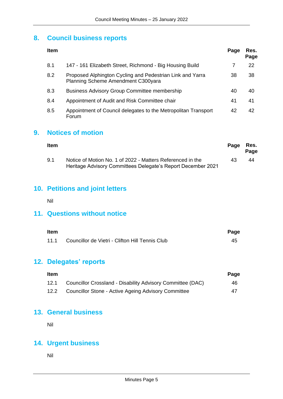## **8. Council business reports**

| <b>Item</b> |                                                                                                 | Page | Res.<br>Page |
|-------------|-------------------------------------------------------------------------------------------------|------|--------------|
| 8.1         | 147 - 161 Elizabeth Street, Richmond - Big Housing Build                                        | 7    | 22           |
| 8.2         | Proposed Alphington Cycling and Pedestrian Link and Yarra<br>Planning Scheme Amendment C300yara | 38   | 38           |
| 8.3         | <b>Business Advisory Group Committee membership</b>                                             | 40   | 40           |
| 8.4         | Appointment of Audit and Risk Committee chair                                                   | 41   | 41           |
| 8.5         | Appointment of Council delegates to the Metropolitan Transport<br>Forum                         | 42   | 42           |

## **9. Notices of motion**

| Item |                                                                                                                            | Page | Res.<br>Page |
|------|----------------------------------------------------------------------------------------------------------------------------|------|--------------|
| 9.1  | Notice of Motion No. 1 of 2022 - Matters Referenced in the<br>Heritage Advisory Committees Delegate's Report December 2021 | 43   | 44           |

## **10. Petitions and joint letters**

Nil

## **11. Questions without notice**

| <b>Item</b> |                                                      | Page |
|-------------|------------------------------------------------------|------|
|             | 11.1 Councillor de Vietri - Clifton Hill Tennis Club | 45   |

## **12. Delegates' reports**

| <b>Item</b> |                                                            | Page |
|-------------|------------------------------------------------------------|------|
| 12.1        | Councillor Crossland - Disability Advisory Committee (DAC) | 46   |
| 12.2        | Councillor Stone - Active Ageing Advisory Committee        | 47   |

## **13. General business**

Nil

## **14. Urgent business**

Nil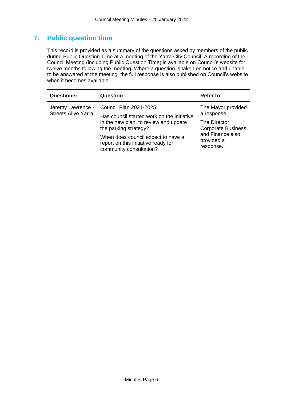## **7. Public question time**

This record is provided as a summary of the questions asked by members of the public during Public Question Time at a meeting of the Yarra City Council. A recording of the Council Meeting (including Public Question Time) is available on Council's website for twelve months following the meeting. Where a question is taken on notice and unable to be answered at the meeting, the full response is also published on Council's website when it becomes available.

| Questioner                                      | Question                                                                                                                                                                                                                                        | <b>Refer to</b>                                                                                                               |
|-------------------------------------------------|-------------------------------------------------------------------------------------------------------------------------------------------------------------------------------------------------------------------------------------------------|-------------------------------------------------------------------------------------------------------------------------------|
| Jeremy Lawrence -<br><b>Streets Alive Yarra</b> | Council Plan 2021-2025:<br>Has council started work on the initiative<br>in the new plan, to review and update<br>the parking strategy?<br>When does council expect to have a<br>report on this initiative ready for<br>community consultation? | The Mayor provided<br>a response.<br>The Director<br><b>Corporate Business</b><br>and Finance also<br>provided a<br>response. |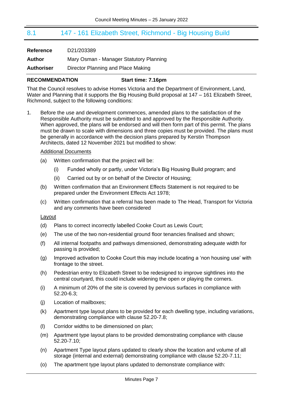## <span id="page-6-0"></span>8.1 147 - 161 Elizabeth Street, Richmond - Big Housing Build

| Reference         | D21/203389                              |
|-------------------|-----------------------------------------|
| Author            | Mary Osman - Manager Statutory Planning |
| <b>Authoriser</b> | Director Planning and Place Making      |

#### **RECOMMENDATION Start time: 7.16pm**

That the Council resolves to advise Homes Victoria and the Department of Environment, Land, Water and Planning that it supports the Big Housing Build proposal at 147 – 161 Elizabeth Street, Richmond, subject to the following conditions:

1. Before the use and development commences, amended plans to the satisfaction of the Responsible Authority must be submitted to and approved by the Responsible Authority. When approved, the plans will be endorsed and will then form part of this permit. The plans must be drawn to scale with dimensions and three copies must be provided. The plans must be generally in accordance with the decision plans prepared by Kerstin Thompson Architects, dated 12 November 2021 but modified to show:

#### Additional Documents

- (a) Written confirmation that the project will be:
	- (i) Funded wholly or partly, under Victoria's Big Housing Build program; and
	- (ii) Carried out by or on behalf of the Director of Housing;
- (b) Written confirmation that an Environment Effects Statement is not required to be prepared under the Environment Effects Act 1978;
- (c) Written confirmation that a referral has been made to The Head, Transport for Victoria and any comments have been considered

#### Layout

- (d) Plans to correct incorrectly labelled Cooke Court as Lewis Court;
- (e) The use of the two non-residential ground floor tenancies finalised and shown;
- (f) All internal footpaths and pathways dimensioned, demonstrating adequate width for passing is provided;
- (g) Improved activation to Cooke Court this may include locating a 'non housing use' with frontage to the street.
- (h) Pedestrian entry to Elizabeth Street to be redesigned to improve sightlines into the central courtyard, this could include widening the open or playing the corners.
- (i) A minimum of 20% of the site is covered by pervious surfaces in compliance with 52.20-6.3;
- (j) Location of mailboxes;
- (k) Apartment type layout plans to be provided for each dwelling type, including variations, demonstrating compliance with clause 52.20-7.8;
- (l) Corridor widths to be dimensioned on plan;
- (m) Apartment type layout plans to be provided demonstrating compliance with clause 52.20-7.10;
- (n) Apartment Type layout plans updated to clearly show the location and volume of all storage (internal and external) demonstrating compliance with clause 52.20-7.11;
- (o) The apartment type layout plans updated to demonstrate compliance with: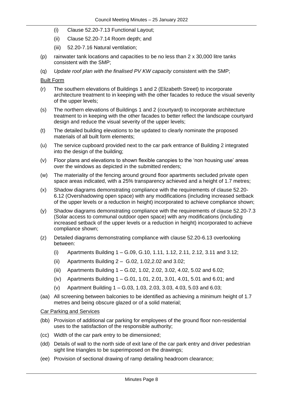- (i) Clause 52.20-7.13 Functional Layout;
- (ii) Clause 52.20-7.14 Room depth; and
- (iii) 52.20-7.16 Natural ventilation;
- (p) rainwater tank locations and capacities to be no less than 2 x 30,000 litre tanks consistent with the SMP;
- (q) *Update roof plan with the finalised PV KW capacity* consistent with the SMP;

#### Built Form

- (r) The southern elevations of Buildings 1 and 2 (Elizabeth Street) to incorporate architecture treatment to in keeping with the other facades to reduce the visual severity of the upper levels;
- (s) The northern elevations of Buildings 1 and 2 (courtyard) to incorporate architecture treatment to in keeping with the other facades to better reflect the landscape courtyard design and reduce the visual severity of the upper levels;
- (t) The detailed building elevations to be updated to clearly nominate the proposed materials of all built form elements;
- (u) The service cupboard provided next to the car park entrance of Building 2 integrated into the design of the building:
- (v) Floor plans and elevations to shown flexible canopies to the 'non housing use' areas over the windows as depicted in the submitted renders;
- (w) The materiality of the fencing around ground floor apartments secluded private open space areas indicated, with a 25% transparency achieved and a height of 1.7 metres;
- (x) Shadow diagrams demonstrating compliance with the requirements of clause 52.20- 6.12 (Overshadowing open space) with any modifications (including increased setback of the upper levels or a reduction in height) incorporated to achieve compliance shown;
- (y) Shadow diagrams demonstrating compliance with the requirements of clause 52.20-7.3 (Solar access to communal outdoor open space) with any modifications (including increased setback of the upper levels or a reduction in height) incorporated to achieve compliance shown;
- (z) Detailed diagrams demonstrating compliance with clause 52.20-6.13 overlooking between:
	- (i) Apartments Building 1 G.09, G.10, 1.11, 1.12, 2.11, 2.12, 3.11 and 3.12;
	- (ii) Apartments Building 2 G.02, 1.02,2.02 and 3.02;
	- (iii) Apartments Building 1 G.02, 1.02, 2.02, 3.02, 4.02, 5.02 and 6.02;
	- (iv) Apartments Building 1 G.01, 1.01, 2.01, 3.01, 4.01, 5.01 and 6.01; and
	- (v) Apartment Building 1 G.03, 1.03, 2.03, 3.03, 4.03, 5.03 and 6.03;
- (aa) All screening between balconies to be identified as achieving a minimum height of 1.7 metres and being obscure glazed or of a solid material;

#### Car Parking and Services

- (bb) Provision of additional car parking for employees of the ground floor non-residential uses to the satisfaction of the responsible authority;
- (cc) Width of the car park entry to be dimensioned;
- (dd) Details of wall to the north side of exit lane of the car park entry and driver pedestrian sight line triangles to be superimposed on the drawings;
- (ee) Provision of sectional drawing of ramp detailing headroom clearance;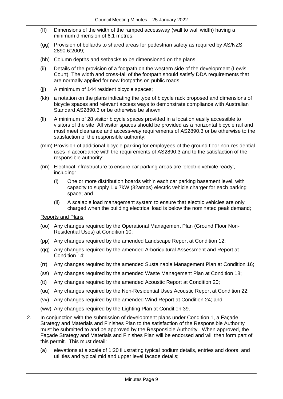- (ff) Dimensions of the width of the ramped accessway (wall to wall width) having a minimum dimension of 6.1 metres;
- (gg) Provision of bollards to shared areas for pedestrian safety as required by AS/NZS 2890.6:2009;
- (hh) Column depths and setbacks to be dimensioned on the plans;
- (ii) Details of the provision of a footpath on the western side of the development (Lewis Court). The width and cross-fall of the footpath should satisfy DDA requirements that are normally applied for new footpaths on public roads.
- (ii) A minimum of 144 resident bicycle spaces;
- (kk) a notation on the plans indicating the type of bicycle rack proposed and dimensions of bicycle spaces and relevant access ways to demonstrate compliance with Australian Standard AS2890.3 or be otherwise be shown
- (ll) A minimum of 28 visitor bicycle spaces provided in a location easily accessible to visitors of the site. All visitor spaces should be provided as a horizontal bicycle rail and must meet clearance and access-way requirements of AS2890.3 or be otherwise to the satisfaction of the responsible authority;
- (mm) Provision of additional bicycle parking for employees of the ground floor non-residential uses in accordance with the requirements of AS2890.3 and to the satisfaction of the responsible authority;
- (nn) Electrical infrastructure to ensure car parking areas are 'electric vehicle ready', including:
	- (i) One or more distribution boards within each car parking basement level, with capacity to supply 1 x 7kW (32amps) electric vehicle charger for each parking space; and
	- (ii) A scalable load management system to ensure that electric vehicles are only charged when the building electrical load is below the nominated peak demand;

#### Reports and Plans

- (oo) Any changes required by the Operational Management Plan (Ground Floor Non-Residential Uses) at Condition 10;
- (pp) Any changes required by the amended Landscape Report at Condition 12;
- (qq) Any changes required by the amended Arboricultural Assessment and Report at Condition 14;
- (rr) Any changes required by the amended Sustainable Management Plan at Condition 16;
- (ss) Any changes required by the amended Waste Management Plan at Condition 18;
- (tt) Any changes required by the amended Acoustic Report at Condition 20;
- (uu) Any changes required by the Non-Residential Uses Acoustic Report at Condition 22;
- (vv) Any changes required by the amended Wind Report at Condition 24; and
- (ww) Any changes required by the Lighting Plan at Condition 39.
- 2. In conjunction with the submission of development plans under Condition 1, a Façade Strategy and Materials and Finishes Plan to the satisfaction of the Responsible Authority must be submitted to and be approved by the Responsible Authority. When approved, the Façade Strategy and Materials and Finishes Plan will be endorsed and will then form part of this permit. This must detail:
	- (a) elevations at a scale of 1:20 illustrating typical podium details, entries and doors, and utilities and typical mid and upper level facade details;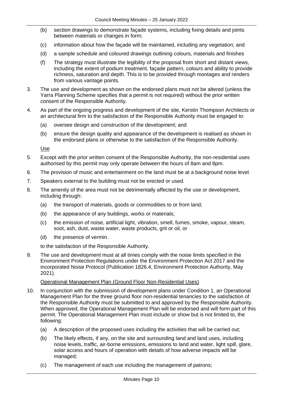- (b) section drawings to demonstrate façade systems, including fixing details and joints between materials or changes in form:
- (c) information about how the façade will be maintained, including any vegetation; and
- (d) a sample schedule and coloured drawings outlining colours, materials and finishes
- (f) The strategy must illustrate the legibility of the proposal from short and distant views, including the extent of podium treatment, façade pattern, colours and ability to provide richness, saturation and depth. This is to be provided through montages and renders from various vantage points.
- 3. The use and development as shown on the endorsed plans must not be altered (unless the Yarra Planning Scheme specifies that a permit is not required) without the prior written consent of the Responsible Authority.
- 4. As part of the ongoing progress and development of the site, Kerstin Thompson Architects or an architectural firm to the satisfaction of the Responsible Authority must be engaged to:
	- (a) oversee design and construction of the development; and
	- (b) ensure the design quality and appearance of the development is realised as shown in the endorsed plans or otherwise to the satisfaction of the Responsible Authority.

Use

- 5. Except with the prior written consent of the Responsible Authority, the non-residential uses authorised by this permit may only operate between the hours of 8am and 8pm.
- 6. The provision of music and entertainment on the land must be at a background noise level.
- 7. Speakers external to the building must not be erected or used.
- 8. The amenity of the area must not be detrimentally affected by the use or development, including through:
	- (a) the transport of materials, goods or commodities to or from land;
	- (b) the appearance of any buildings, works or materials;
	- (c) the emission of noise, artificial light, vibration, smell, fumes, smoke, vapour, steam, soot, ash, dust, waste water, waste products, grit or oil, or
	- (d) the presence of vermin.

to the satisfaction of the Responsible Authority.

9. The use and development must at all times comply with the noise limits specified in the Environment Protection Regulations under the Environment Protection Act 2017 and the incorporated Noise Protocol (Publication 1826.4, Environment Protection Authority, May 2021).

#### Operational Management Plan (Ground Floor Non-Residential Uses)

- 10. In conjunction with the submission of development plans under Condition 1, an Operational Management Plan for the three ground floor non-residential tenancies to the satisfaction of the Responsible Authority must be submitted to and approved by the Responsible Authority. When approved, the Operational Management Plan will be endorsed and will form part of this permit. The Operational Management Plan must include or show but is not limited to, the following:
	- (a) A description of the proposed uses including the activities that will be carried out;
	- (b) The likely effects, if any, on the site and surrounding land and land uses, including noise levels, traffic, air-borne emissions, emissions to land and water, light spill, glare, solar access and hours of operation with details of how adverse impacts will be managed;
	- (c) The management of each use including the management of patrons;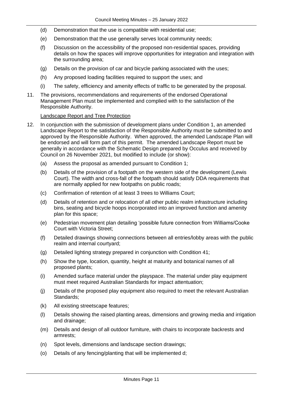- (d) Demonstration that the use is compatible with residential use;
- (e) Demonstration that the use generally serves local community needs;
- (f) Discussion on the accessibility of the proposed non-residential spaces, providing details on how the spaces will improve opportunities for integration and integration with the surrounding area;
- (g) Details on the provision of car and bicycle parking associated with the uses;
- (h) Any proposed loading facilities required to support the uses; and
- (i) The safety, efficiency and amenity effects of traffic to be generated by the proposal.
- 11. The provisions, recommendations and requirements of the endorsed Operational Management Plan must be implemented and complied with to the satisfaction of the Responsible Authority.

#### Landscape Report and Tree Protection

- 12. In conjunction with the submission of development plans under Condition 1, an amended Landscape Report to the satisfaction of the Responsible Authority must be submitted to and approved by the Responsible Authority. When approved, the amended Landscape Plan will be endorsed and will form part of this permit. The amended Landscape Report must be generally in accordance with the Schematic Design prepared by Occulus and received by Council on 26 November 2021, but modified to include (or show):
	- (a) Assess the proposal as amended pursuant to Condition 1;
	- (b) Details of the provision of a footpath on the western side of the development (Lewis Court). The width and cross-fall of the footpath should satisfy DDA requirements that are normally applied for new footpaths on public roads;
	- (c) Confirmation of retention of at least 3 trees to Williams Court;
	- (d) Details of retention and or relocation of all other public realm infrastructure including bins, seating and bicycle hoops incorporated into an improved function and amenity plan for this space;
	- (e) Pedestrian movement plan detailing 'possible future connection from Williams/Cooke Court with Victoria Street;
	- (f) Detailed drawings showing connections between all entries/lobby areas with the public realm and internal courtyard;
	- (g) Detailed lighting strategy prepared in conjunction with Condition 41;
	- (h) Show the type, location, quantity, height at maturity and botanical names of all proposed plants;
	- (i) Amended surface material under the playspace. The material under play equipment must meet required Australian Standards for impact attentuation;
	- (j) Details of the proposed play equipment also required to meet the relevant Australian Standards;
	- (k) All existing streetscape features;
	- (l) Details showing the raised planting areas, dimensions and growing media and irrigation and drainage;
	- (m) Details and design of all outdoor furniture, with chairs to incorporate backrests and armrests;
	- (n) Spot levels, dimensions and landscape section drawings;
	- (o) Details of any fencing/planting that will be implemented d;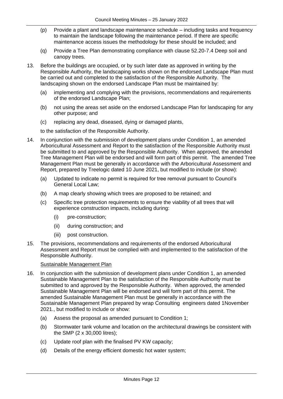- (p) Provide a plant and landscape maintenance schedule including tasks and frequency to maintain the landscape following the maintenance period. If there are specific maintenance access issues the methodology for these should be included; and
- (q) Provide a Tree Plan demonstrating compliance with clause 52.20-7.4 Deep soil and canopy trees.
- 13. Before the buildings are occupied, or by such later date as approved in writing by the Responsible Authority, the landscaping works shown on the endorsed Landscape Plan must be carried out and completed to the satisfaction of the Responsible Authority. The landscaping shown on the endorsed Landscape Plan must be maintained by:
	- (a) implementing and complying with the provisions, recommendations and requirements of the endorsed Landscape Plan;
	- (b) not using the areas set aside on the endorsed Landscape Plan for landscaping for any other purpose; and
	- (c) replacing any dead, diseased, dying or damaged plants,

to the satisfaction of the Responsible Authority.

- 14. In conjunction with the submission of development plans under Condition 1, an amended Arboricultural Assessment and Report to the satisfaction of the Responsible Authority must be submitted to and approved by the Responsible Authority. When approved, the amended Tree Management Plan will be endorsed and will form part of this permit. The amended Tree Management Plan must be generally in accordance with the Arboricultural Assessment and Report, prepared by Treelogic dated 10 June 2021, but modified to include (or show):
	- (a) Updated to indicate no permit is required for tree removal pursuant to Council's General Local Law;
	- (b) A map clearly showing which trees are proposed to be retained; and
	- (c) Specific tree protection requirements to ensure the viability of all trees that will experience construction impacts, including during:
		- (i) pre-construction;
		- (ii) during construction; and
		- (iii) post construction.
- 15. The provisions, recommendations and requirements of the endorsed Arboricultural Assessment and Report must be complied with and implemented to the satisfaction of the Responsible Authority.

#### Sustainable Management Plan

- 16. In conjunction with the submission of development plans under Condition 1, an amended Sustainable Management Plan to the satisfaction of the Responsible Authority must be submitted to and approved by the Responsible Authority. When approved, the amended Sustainable Management Plan will be endorsed and will form part of this permit. The amended Sustainable Management Plan must be generally in accordance with the Sustainable Management Plan prepared by wrap Consulting engineers dated 1November 2021., but modified to include or show:
	- (a) Assess the proposal as amended pursuant to Condition 1;
	- (b) Stormwater tank volume and location on the architectural drawings be consistent with the SMP (2 x 30,000 litres);
	- (c) Update roof plan with the finalised PV KW capacity;
	- (d) Details of the energy efficient domestic hot water system;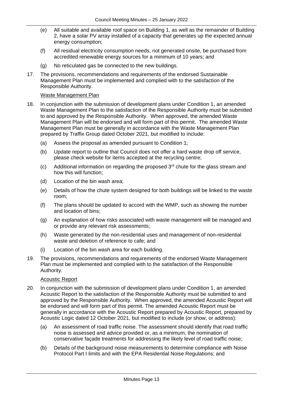- (e) All suitable and available roof space on Building 1, as well as the remainder of Building 2, have a solar PV array installed of a capacity that generates up the expected annual energy consumption;
- (f) All residual electricity consumption needs, not generated onsite, be purchased from accredited renewable energy sources for a minimum of 10 years; and
- (g) No reticulated gas be connected to the new buildings.
- 17. The provisions, recommendations and requirements of the endorsed Sustainable Management Plan must be implemented and complied with to the satisfaction of the Responsible Authority.

#### Waste Management Plan

- 18. In conjunction with the submission of development plans under Condition 1, an amended Waste Management Plan to the satisfaction of the Responsible Authority must be submitted to and approved by the Responsible Authority. When approved, the amended Waste Management Plan will be endorsed and will form part of this permit. The amended Waste Management Plan must be generally in accordance with the Waste Management Plan prepared by Traffix Group dated October 2021, but modified to include:
	- (a) Assess the proposal as amended pursuant to Condition 1;
	- (b) Update report to outline that Council does not offer a hard waste drop off service, please check website for items accepted at the recycling centre;
	- $(c)$  Additional information on regarding the proposed  $3<sup>rd</sup>$  chute for the glass stream and how this will function;
	- (d) Location of the bin wash area;
	- (e) Details of how the chute system designed for both buildings will be linked to the waste room;
	- (f) The plans should be updated to accord with the WMP, such as showing the number and location of bins;
	- (g) An explanation of how risks associated with waste management will be managed and or provide any relevant risk assessments;
	- (h) Waste generated by the non-residential uses and management of non-residential waste and deletion of reference to cafe; and
	- (i) Location of the bin wash area for each building.
- 19. The provisions, recommendations and requirements of the endorsed Waste Management Plan must be implemented and complied with to the satisfaction of the Responsible Authority.

#### Acoustic Report

- 20. In conjunction with the submission of development plans under Condition 1, an amended Acoustic Report to the satisfaction of the Responsible Authority must be submitted to and approved by the Responsible Authority. When approved, the amended Acoustic Report will be endorsed and will form part of this permit. The amended Acoustic Report must be generally in accordance with the Acoustic Report prepared by Acoustic Report, prepared by Acoustic Logic dated 12 October 2021, but modified to include (or show, or address):
	- (a) An assessment of road traffic noise. The assessment should identify that road traffic noise is assessed and advice provided or, as a minimum, the nomination of conservative façade treatments for addressing the likely level of road traffic noise;
	- (b) Details of the background noise measurements to determine compliance with Noise Protocol Part I limits and with the EPA Residential Noise Regulations; and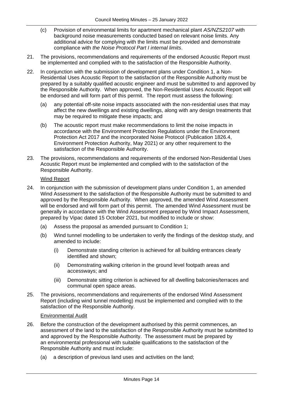- (c) Provision of environmental limits for apartment mechanical plant *AS/NZS2107* with background noise measurements conducted based on relevant noise limits. Any additional advice for complying with the limits must be provided and demonstrate compliance with *the Noise Protocol Part I internal limits*.
- 21. The provisions, recommendations and requirements of the endorsed Acoustic Report must be implemented and complied with to the satisfaction of the Responsible Authority.
- 22. In conjunction with the submission of development plans under Condition 1, a Non-Residential Uses Acoustic Report to the satisfaction of the Responsible Authority must be prepared by a suitably qualified acoustic engineer and must be submitted to and approved by the Responsible Authority. When approved, the Non-Residential Uses Acoustic Report will be endorsed and will form part of this permit. The report must assess the following:
	- (a) any potential off-site noise impacts associated with the non-residential uses that may affect the new dwellings and existing dwellings, along with any design treatments that may be required to mitigate these impacts; and
	- (b) The acoustic report must make recommendations to limit the noise impacts in accordance with the Environment Protection Regulations under the Environment Protection Act 2017 and the incorporated Noise Protocol (Publication 1826.4, Environment Protection Authority, May 2021) or any other requirement to the satisfaction of the Responsible Authority.
- 23. The provisions, recommendations and requirements of the endorsed Non-Residential Uses Acoustic Report must be implemented and complied with to the satisfaction of the Responsible Authority.

### Wind Report

- 24. In conjunction with the submission of development plans under Condition 1, an amended Wind Assessment to the satisfaction of the Responsible Authority must be submitted to and approved by the Responsible Authority. When approved, the amended Wind Assessment will be endorsed and will form part of this permit. The amended Wind Assessment must be generally in accordance with the Wind Assessment prepared by Wind Impact Assessment, prepared by Vipac dated 15 October 2021, but modified to include or show:
	- (a) Assess the proposal as amended pursuant to Condition 1;
	- (b) Wind tunnel modelling to be undertaken to verify the findings of the desktop study, and amended to include:
		- (i) Demonstrate standing criterion is achieved for all building entrances clearly identified and shown;
		- (ii) Demonstrating walking criterion in the ground level footpath areas and accessways; and
		- (iii) Demonstrate sitting criterion is achieved for all dwelling balconies/terraces and communal open space areas.
- 25. The provisions, recommendations and requirements of the endorsed Wind Assessment Report (including wind tunnel modelling) must be implemented and complied with to the satisfaction of the Responsible Authority.

#### Environmental Audit

- 26. Before the construction of the development authorised by this permit commences, an assessment of the land to the satisfaction of the Responsible Authority must be submitted to and approved by the Responsible Authority. The assessment must be prepared by an environmental professional with suitable qualifications to the satisfaction of the Responsible Authority and must include:
	- (a) a description of previous land uses and activities on the land;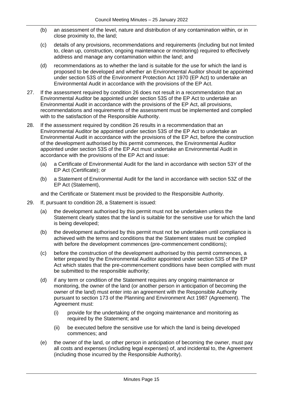- (b) an assessment of the level, nature and distribution of any contamination within, or in close proximity to, the land;
- (c) details of any provisions, recommendations and requirements (including but not limited to, clean up, construction, ongoing maintenance or monitoring) required to effectively address and manage any contamination within the land; and
- (d) recommendations as to whether the land is suitable for the use for which the land is proposed to be developed and whether an Environmental Auditor should be appointed under section 53S of the Environment Protection Act 1970 (EP Act) to undertake an Environmental Audit in accordance with the provisions of the EP Act.
- 27. If the assessment required by condition 26 does not result in a recommendation that an Environmental Auditor be appointed under section 53S of the EP Act to undertake an Environmental Audit in accordance with the provisions of the EP Act, all provisions, recommendations and requirements of the assessment must be implemented and complied with to the satisfaction of the Responsible Authority.
- 28. If the assessment required by condition 26 results in a recommendation that an Environmental Auditor be appointed under section 53S of the EP Act to undertake an Environmental Audit in accordance with the provisions of the EP Act, before the construction of the development authorised by this permit commences, the Environmental Auditor appointed under section 53S of the EP Act must undertake an Environmental Audit in accordance with the provisions of the EP Act and issue:
	- (a) a Certificate of Environmental Audit for the land in accordance with section 53Y of the EP Act (Certificate); or
	- (b) a Statement of Environmental Audit for the land in accordance with section 53Z of the EP Act (Statement),

and the Certificate or Statement must be provided to the Responsible Authority.

- 29. If, pursuant to condition 28, a Statement is issued:
	- (a) the development authorised by this permit must not be undertaken unless the Statement clearly states that the land is suitable for the sensitive use for which the land is being developed;
	- (b) the development authorised by this permit must not be undertaken until compliance is achieved with the terms and conditions that the Statement states must be complied with before the development commences (pre-commencement conditions);
	- (c) before the construction of the development authorised by this permit commences, a letter prepared by the Environmental Auditor appointed under section 53S of the EP Act which states that the pre-commencement conditions have been complied with must be submitted to the responsible authority;
	- (d) if any term or condition of the Statement requires any ongoing maintenance or monitoring, the owner of the land (or another person in anticipation of becoming the owner of the land) must enter into an agreement with the Responsible Authority pursuant to [section 173](http://www.austlii.edu.au/au/legis/vic/consol_act/paea1987254/s173.html) of the [Planning and Environment](http://www.austlii.edu.au/au/legis/vic/consol_act/paea1987254/) [Act 1987](http://www.austlii.edu.au/au/legis/vic/consol_act/paea1987254/) (Agreement). The Agreement must:
		- (i) provide for the undertaking of the ongoing maintenance and monitoring as required by the Statement; and
		- (ii) be executed before the sensitive use for which the land is being developed commences; and
	- (e) the owner of the land, or other person in anticipation of becoming the owner, must pay all costs and expenses (including legal expenses) of, and incidental to, the Agreement (including those incurred by the Responsible Authority).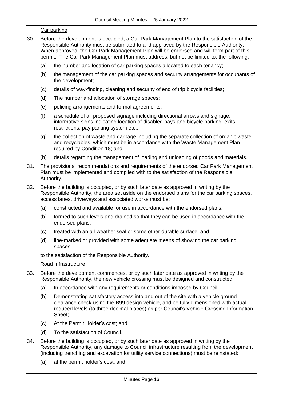#### Car parking

- 30. Before the development is occupied, a Car Park Management Plan to the satisfaction of the Responsible Authority must be submitted to and approved by the Responsible Authority. When approved, the Car Park Management Plan will be endorsed and will form part of this permit. The Car Park Management Plan must address, but not be limited to, the following:
	- (a) the number and location of car parking spaces allocated to each tenancy;
	- (b) the management of the car parking spaces and security arrangements for occupants of the development;
	- (c) details of way-finding, cleaning and security of end of trip bicycle facilities;
	- (d) The number and allocation of storage spaces;
	- (e) policing arrangements and formal agreements;
	- (f) a schedule of all proposed signage including directional arrows and signage, informative signs indicating location of disabled bays and bicycle parking, exits, restrictions, pay parking system etc.;
	- (g) the collection of waste and garbage including the separate collection of organic waste and recyclables, which must be in accordance with the Waste Management Plan required by Condition 18; and
	- (h) details regarding the management of loading and unloading of goods and materials.
- 31. The provisions, recommendations and requirements of the endorsed Car Park Management Plan must be implemented and complied with to the satisfaction of the Responsible Authority.
- 32. Before the building is occupied, or by such later date as approved in writing by the Responsible Authority, the area set aside on the endorsed plans for the car parking spaces, access lanes, driveways and associated works must be:
	- (a) constructed and available for use in accordance with the endorsed plans;
	- (b) formed to such levels and drained so that they can be used in accordance with the endorsed plans;
	- (c) treated with an all-weather seal or some other durable surface; and
	- (d) line-marked or provided with some adequate means of showing the car parking spaces;

to the satisfaction of the Responsible Authority.

#### Road Infrastructure

- 33. Before the development commences, or by such later date as approved in writing by the Responsible Authority, the new vehicle crossing must be designed and constructed:
	- (a) In accordance with any requirements or conditions imposed by Council;
	- (b) Demonstrating satisfactory access into and out of the site with a vehicle ground clearance check using the B99 design vehicle, and be fully dimensioned with actual reduced levels (to three decimal places) as per Council's Vehicle Crossing Information Sheet;
	- (c) At the Permit Holder's cost; and
	- (d) To the satisfaction of Council.
- 34. Before the building is occupied, or by such later date as approved in writing by the Responsible Authority, any damage to Council infrastructure resulting from the development (including trenching and excavation for utility service connections) must be reinstated:
	- (a) at the permit holder's cost; and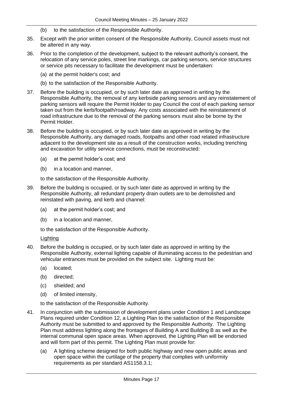- (b) to the satisfaction of the Responsible Authority.
- 35. Except with the prior written consent of the Responsible Authority, Council assets must not be altered in any way.
- 36. Prior to the completion of the development, subject to the relevant authority's consent, the relocation of any service poles, street line markings, car parking sensors, service structures or service pits necessary to facilitate the development must be undertaken:
	- (a) at the permit holder's cost; and
	- (b) to the satisfaction of the Responsible Authority.
- 37. Before the building is occupied, or by such later date as approved in writing by the Responsible Authority, the removal of any kerbside parking sensors and any reinstatement of parking sensors will require the Permit Holder to pay Council the cost of each parking sensor taken out from the kerb/footpath/roadway. Any costs associated with the reinstatement of road infrastructure due to the removal of the parking sensors must also be borne by the Permit Holder.
- 38. Before the building is occupied, or by such later date as approved in writing by the Responsible Authority, any damaged roads, footpaths and other road related infrastructure adjacent to the development site as a result of the construction works, including trenching and excavation for utility service connections, must be reconstructed:
	- (a) at the permit holder's cost; and
	- (b) in a location and manner,

to the satisfaction of the Responsible Authority.

- 39. Before the building is occupied, or by such later date as approved in writing by the Responsible Authority, all redundant property drain outlets are to be demolished and reinstated with paving, and kerb and channel:
	- (a) at the permit holder's cost; and
	- (b) in a location and manner,

to the satisfaction of the Responsible Authority.

#### Lighting

- 40. Before the building is occupied, or by such later date as approved in writing by the Responsible Authority, external lighting capable of illuminating access to the pedestrian and vehicular entrances must be provided on the subject site. Lighting must be:
	- (a) located;
	- (b) directed;
	- (c) shielded; and
	- (d) of limited intensity,

to the satisfaction of the Responsible Authority.

- 41. In conjunction with the submission of development plans under Condition 1 and Landscape Plans required under Condition 12, a Lighting Plan to the satisfaction of the Responsible Authority must be submitted to and approved by the Responsible Authority. The Lighting Plan must address lighting along the frontages of Building A and Building B as well as the internal communal open space areas. When approved, the Lighting Plan will be endorsed and will form part of this permit. The Lighting Plan must provide for:
	- (a) A lighting scheme designed for both public highway and new open public areas and open space within the curtilage of the property that complies with uniformity requirements as per standard AS1158.3.1;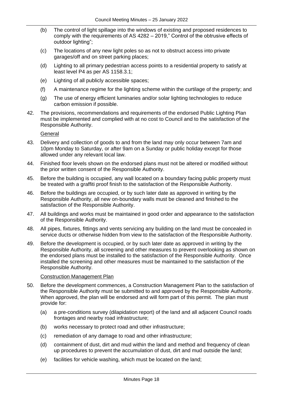- (b) The control of light spillage into the windows of existing and proposed residences to comply with the requirements of AS 4282 – 2019," Control of the obtrusive effects of outdoor lighting";
- (c) The locations of any new light poles so as not to obstruct access into private garages/off and on street parking places;
- (d) Lighting to all primary pedestrian access points to a residential property to satisfy at least level P4 as per AS 1158.3.1;
- (e) Lighting of all publicly accessible spaces;
- (f) A maintenance regime for the lighting scheme within the curtilage of the property; and
- (g) The use of energy efficient luminaries and/or solar lighting technologies to reduce carbon emission if possible.
- 42. The provisions, recommendations and requirements of the endorsed Public Lighting Plan must be implemented and complied with at no cost to Council and to the satisfaction of the Responsible Authority.

General

- 43. Delivery and collection of goods to and from the land may only occur between 7am and 10pm Monday to Saturday, or after 9am on a Sunday or public holiday except for those allowed under any relevant local law.
- 44. Finished floor levels shown on the endorsed plans must not be altered or modified without the prior written consent of the Responsible Authority.
- 45. Before the building is occupied, any wall located on a boundary facing public property must be treated with a graffiti proof finish to the satisfaction of the Responsible Authority.
- 46. Before the buildings are occupied, or by such later date as approved in writing by the Responsible Authority, all new on-boundary walls must be cleaned and finished to the satisfaction of the Responsible Authority.
- 47. All buildings and works must be maintained in good order and appearance to the satisfaction of the Responsible Authority.
- 48. All pipes, fixtures, fittings and vents servicing any building on the land must be concealed in service ducts or otherwise hidden from view to the satisfaction of the Responsible Authority.
- 49. Before the development is occupied, or by such later date as approved in writing by the Responsible Authority, all screening and other measures to prevent overlooking as shown on the endorsed plans must be installed to the satisfaction of the Responsible Authority. Once installed the screening and other measures must be maintained to the satisfaction of the Responsible Authority.

#### Construction Management Plan

- 50. Before the development commences, a Construction Management Plan to the satisfaction of the Responsible Authority must be submitted to and approved by the Responsible Authority. When approved, the plan will be endorsed and will form part of this permit. The plan must provide for:
	- (a) a pre-conditions survey (dilapidation report) of the land and all adjacent Council roads frontages and nearby road infrastructure;
	- (b) works necessary to protect road and other infrastructure;
	- (c) remediation of any damage to road and other infrastructure;
	- (d) containment of dust, dirt and mud within the land and method and frequency of clean up procedures to prevent the accumulation of dust, dirt and mud outside the land;
	- (e) facilities for vehicle washing, which must be located on the land;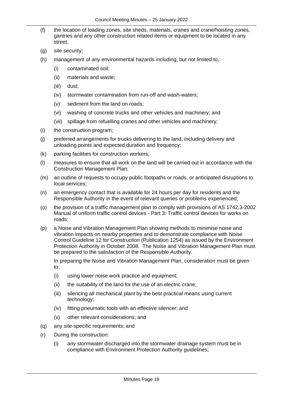- (f) the location of loading zones, site sheds, materials, cranes and crane/hoisting zones, gantries and any other construction related items or equipment to be located in any street;
- (g) site security;
- (h) management of any environmental hazards including, but not limited to,:
	- (i) contaminated soil;
	- (ii) materials and waste;
	- (iii) dust;
	- (iv) stormwater contamination from run-off and wash-waters;
	- (v) sediment from the land on roads;
	- (vi) washing of concrete trucks and other vehicles and machinery; and
	- (vii) spillage from refuelling cranes and other vehicles and machinery;
- (i) the construction program;
- (j) preferred arrangements for trucks delivering to the land, including delivery and unloading points and expected duration and frequency;
- (k) parking facilities for construction workers;
- (l) measures to ensure that all work on the land will be carried out in accordance with the Construction Management Plan;
- (m) an outline of requests to occupy public footpaths or roads, or anticipated disruptions to local services;
- (n) an emergency contact that is available for 24 hours per day for residents and the Responsible Authority in the event of relevant queries or problems experienced;
- (o) the provision of a traffic management plan to comply with provisions of AS 1742.3-2002 Manual of uniform traffic control devices - Part 3: Traffic control devices for works on roads;
- (p) a Noise and Vibration Management Plan showing methods to minimise noise and vibration impacts on nearby properties and to demonstrate compliance with Noise Control Guideline 12 for Construction (Publication 1254) as issued by the Environment Protection Authority in October 2008. The Noise and Vibration Management Plan must be prepared to the satisfaction of the Responsible Authority.

In preparing the Noise and Vibration Management Plan, consideration must be given to:

- (i) using lower noise work practice and equipment;
- (ii) the suitability of the land for the use of an electric crane;
- (iii) silencing all mechanical plant by the best practical means using current technology;
- (iv) fitting pneumatic tools with an effective silencer; and
- (v) other relevant considerations; and
- (q) any site-specific requirements; and
- (r) During the construction:
	- (i) any stormwater discharged into the stormwater drainage system must be in compliance with Environment Protection Authority guidelines;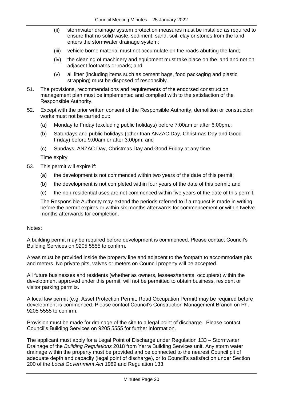- (ii) stormwater drainage system protection measures must be installed as required to ensure that no solid waste, sediment, sand, soil, clay or stones from the land enters the stormwater drainage system;
- (iii) vehicle borne material must not accumulate on the roads abutting the land;
- (iv) the cleaning of machinery and equipment must take place on the land and not on adjacent footpaths or roads; and
- (v) all litter (including items such as cement bags, food packaging and plastic strapping) must be disposed of responsibly.
- 51. The provisions, recommendations and requirements of the endorsed construction management plan must be implemented and complied with to the satisfaction of the Responsible Authority.
- 52. Except with the prior written consent of the Responsible Authority, demolition or construction works must not be carried out:
	- (a) Monday to Friday (excluding public holidays) before 7:00am or after 6:00pm.;
	- (b) Saturdays and public holidays (other than ANZAC Day, Christmas Day and Good Friday) before 9:00am or after 3:00pm; and
	- (c) Sundays, ANZAC Day, Christmas Day and Good Friday at any time.

#### Time expiry

- 53. This permit will expire if:
	- (a) the development is not commenced within two years of the date of this permit;
	- (b) the development is not completed within four years of the date of this permit; and
	- (c) the non-residential uses are not commenced within five years of the date of this permit.

The Responsible Authority may extend the periods referred to if a request is made in writing before the permit expires or within six months afterwards for commencement or within twelve months afterwards for completion.

#### Notes:

A building permit may be required before development is commenced. Please contact Council's Building Services on 9205 5555 to confirm.

Areas must be provided inside the property line and adjacent to the footpath to accommodate pits and meters. No private pits, valves or meters on Council property will be accepted.

All future businesses and residents (whether as owners, lessees/tenants, occupiers) within the development approved under this permit, will not be permitted to obtain business, resident or visitor parking permits.

A local law permit (e.g. Asset Protection Permit, Road Occupation Permit) may be required before development is commenced. Please contact Council's Construction Management Branch on Ph. 9205 5555 to confirm.

Provision must be made for drainage of the site to a legal point of discharge. Please contact Council's Building Services on 9205 5555 for further information.

The applicant must apply for a Legal Point of Discharge under Regulation 133 – Stormwater Drainage of the *Building Regulations* 2018 from Yarra Building Services unit. Any storm water drainage within the property must be provided and be connected to the nearest Council pit of adequate depth and capacity (legal point of discharge), or to Council's satisfaction under Section 200 of the *Local Government Act* 1989 and Regulation 133.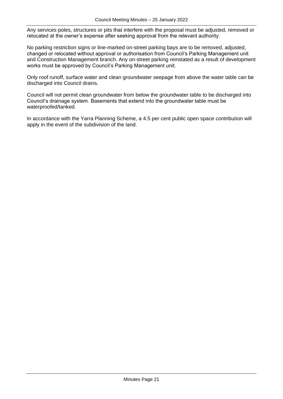Any services poles, structures or pits that interfere with the proposal must be adjusted, removed or relocated at the owner's expense after seeking approval from the relevant authority.

No parking restriction signs or line-marked on-street parking bays are to be removed, adjusted, changed or relocated without approval or authorisation from Council's Parking Management unit and Construction Management branch. Any on-street parking reinstated as a result of development works must be approved by Council's Parking Management unit.

Only roof runoff, surface water and clean groundwater seepage from above the water table can be discharged into Council drains.

Council will not permit clean groundwater from below the groundwater table to be discharged into Council's drainage system. Basements that extend into the groundwater table must be waterproofed/tanked.

In accordance with the Yarra Planning Scheme, a 4.5 per cent public open space contribution will apply in the event of the subdivision of the land.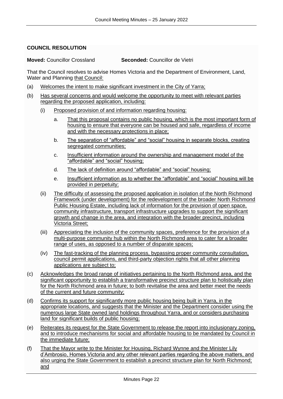#### <span id="page-21-0"></span>**COUNCIL RESOLUTION**

**Moved:** Councillor Crossland **Seconded:** Councillor de Vietri

That the Council resolves to advise Homes Victoria and the Department of Environment, Land, Water and Planning that Council:

- (a) Welcomes the intent to make significant investment in the City of Yarra;
- (b) Has several concerns and would welcome the opportunity to meet with relevant parties regarding the proposed application, including:
	- (i) Proposed provision of and information regarding housing:
		- a. That this proposal contains no public housing, which is the most important form of housing to ensure that everyone can be housed and safe, regardless of income and with the necessary protections in place;
		- b. The separation of "affordable" and "social" housing in separate blocks, creating segregated communities;
		- c. Insufficient information around the ownership and management model of the "affordable" and "social" housing;
		- d. The lack of definition around "affordable" and "social" housing;
		- e. Insufficient information as to whether the "affordable" and "social" housing will be provided in perpetuity;
	- (ii) The difficulty of assessing the proposed application in isolation of the North Richmond Framework (under development) for the redevelopment of the broader North Richmond Public Housing Estate, including lack of information for the provision of open space, community infrastructure, transport infrastructure upgrades to support the significant growth and change in the area, and integration with the broader precinct, including Victoria Street;
	- (iii) Appreciating the inclusion of the community spaces, preference for the provision of a multi-purpose community hub within the North Richmond area to cater for a broader range of uses, as opposed to a number of disparate spaces;
	- (iv) The fast-tracking of the planning process, bypassing proper community consultation, council permit applications, and third-party objection rights that all other planning applications are subject to;
- (c) Acknowledges the broad range of initiatives pertaining to the North Richmond area, and the significant opportunity to establish a transformative precinct structure plan to holistically plan for the North Richmond area in future; to both revitalise the area and better meet the needs of the current and future community;
- (d) Confirms its support for significantly more public housing being built in Yarra, in the appropriate locations, and suggests that the Minister and the Department consider using the numerous large State owned land holdings throughout Yarra, and or considers purchasing land for significant builds of public housing;
- (e) Reiterates its request for the State Government to release the report into inclusionary zoning, and to introduce mechanisms for social and affordable housing to be mandated by Council in the immediate future;
- (f) That the Mayor write to the Minister for Housing, Richard Wynne and the Minister Lily d'Ambrosio, Homes Victoria and any other relevant parties regarding the above matters, and also urging the State Government to establish a precinct structure plan for North Richmond; and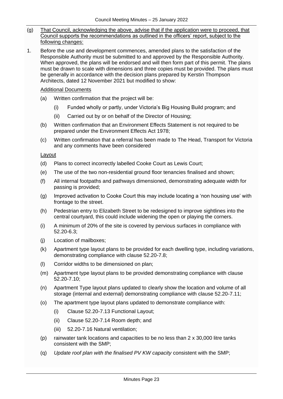- (g) That Council, acknowledging the above, advise that if the application were to proceed, that Council supports the recommendations as outlined in the officers' report, subject to the following changes:
- 1. Before the use and development commences, amended plans to the satisfaction of the Responsible Authority must be submitted to and approved by the Responsible Authority. When approved, the plans will be endorsed and will then form part of this permit. The plans must be drawn to scale with dimensions and three copies must be provided. The plans must be generally in accordance with the decision plans prepared by Kerstin Thompson Architects, dated 12 November 2021 but modified to show:

### Additional Documents

- (a) Written confirmation that the project will be:
	- (i) Funded wholly or partly, under Victoria's Big Housing Build program; and
	- (ii) Carried out by or on behalf of the Director of Housing;
- (b) Written confirmation that an Environment Effects Statement is not required to be prepared under the Environment Effects Act 1978;
- (c) Written confirmation that a referral has been made to The Head, Transport for Victoria and any comments have been considered

#### Layout

- (d) Plans to correct incorrectly labelled Cooke Court as Lewis Court;
- (e) The use of the two non-residential ground floor tenancies finalised and shown;
- (f) All internal footpaths and pathways dimensioned, demonstrating adequate width for passing is provided;
- (g) Improved activation to Cooke Court this may include locating a 'non housing use' with frontage to the street.
- (h) Pedestrian entry to Elizabeth Street to be redesigned to improve sightlines into the central courtyard, this could include widening the open or playing the corners.
- (i) A minimum of 20% of the site is covered by pervious surfaces in compliance with  $52.20 - 6.3$
- (j) Location of mailboxes;
- (k) Apartment type layout plans to be provided for each dwelling type, including variations, demonstrating compliance with clause 52.20-7.8;
- (l) Corridor widths to be dimensioned on plan;
- (m) Apartment type layout plans to be provided demonstrating compliance with clause 52.20-7.10;
- (n) Apartment Type layout plans updated to clearly show the location and volume of all storage (internal and external) demonstrating compliance with clause 52.20-7.11;
- (o) The apartment type layout plans updated to demonstrate compliance with:
	- (i) Clause 52.20-7.13 Functional Layout;
	- (ii) Clause 52.20-7.14 Room depth; and
	- (iii) 52.20-7.16 Natural ventilation;
- (p) rainwater tank locations and capacities to be no less than 2 x 30,000 litre tanks consistent with the SMP;
- (q) *Update roof plan with the finalised PV KW capacity* consistent with the SMP;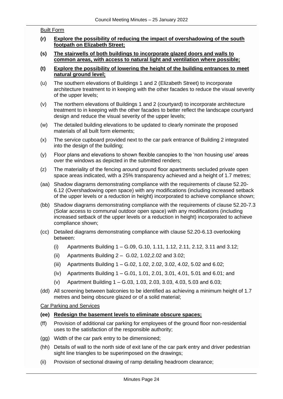#### Built Form

- **(r) Explore the possibility of reducing the impact of overshadowing of the south footpath on Elizabeth Street;**
- **(s) The stairwells of both buildings to incorporate glazed doors and walls to common areas, with access to natural light and ventilation where possible;**
- **(t) Explore the possibility of lowering the height of the building entrances to meet natural ground level;**
- (u) The southern elevations of Buildings 1 and 2 (Elizabeth Street) to incorporate architecture treatment to in keeping with the other facades to reduce the visual severity of the upper levels;
- (v) The northern elevations of Buildings 1 and 2 (courtyard) to incorporate architecture treatment to in keeping with the other facades to better reflect the landscape courtyard design and reduce the visual severity of the upper levels;
- (w) The detailed building elevations to be updated to clearly nominate the proposed materials of all built form elements;
- (x) The service cupboard provided next to the car park entrance of Building 2 integrated into the design of the building:
- (y) Floor plans and elevations to shown flexible canopies to the 'non housing use' areas over the windows as depicted in the submitted renders;
- (z) The materiality of the fencing around ground floor apartments secluded private open space areas indicated, with a 25% transparency achieved and a height of 1.7 metres;
- (aa) Shadow diagrams demonstrating compliance with the requirements of clause 52.20- 6.12 (Overshadowing open space) with any modifications (including increased setback of the upper levels or a reduction in height) incorporated to achieve compliance shown;
- (bb) Shadow diagrams demonstrating compliance with the requirements of clause 52.20-7.3 (Solar access to communal outdoor open space) with any modifications (including increased setback of the upper levels or a reduction in height) incorporated to achieve compliance shown;
- (cc) Detailed diagrams demonstrating compliance with clause 52.20-6.13 overlooking between:
	- (i) Apartments Building 1 G.09, G.10, 1.11, 1.12, 2.11, 2.12, 3.11 and 3.12;
	- (ii) Apartments Building 2 G.02, 1.02,2.02 and 3.02;
	- (iii) Apartments Building 1 G.02, 1.02, 2.02, 3.02, 4.02, 5.02 and 6.02;
	- (iv) Apartments Building 1 G.01, 1.01, 2.01, 3.01, 4.01, 5.01 and 6.01; and
	- (v) Apartment Building 1 G.03, 1.03, 2.03, 3.03, 4.03, 5.03 and 6.03;
- (dd) All screening between balconies to be identified as achieving a minimum height of 1.7 metres and being obscure glazed or of a solid material;

#### Car Parking and Services

- **(ee) Redesign the basement levels to eliminate obscure spaces;**
- (ff) Provision of additional car parking for employees of the ground floor non-residential uses to the satisfaction of the responsible authority;
- (gg) Width of the car park entry to be dimensioned;
- (hh) Details of wall to the north side of exit lane of the car park entry and driver pedestrian sight line triangles to be superimposed on the drawings;
- (ii) Provision of sectional drawing of ramp detailing headroom clearance;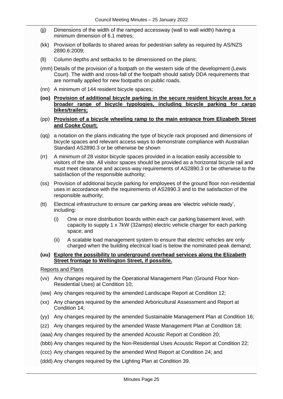- (jj) Dimensions of the width of the ramped accessway (wall to wall width) having a minimum dimension of 6.1 metres;
- (kk) Provision of bollards to shared areas for pedestrian safety as required by AS/NZS 2890.6:2009;
- (ll) Column depths and setbacks to be dimensioned on the plans;
- (mm) Details of the provision of a footpath on the western side of the development (Lewis Court). The width and cross-fall of the footpath should satisfy DDA requirements that are normally applied for new footpaths on public roads.
- (nn) A minimum of 144 resident bicycle spaces;
- **(oo) Provision of additional bicycle parking in the secure resident bicycle areas for a broader range of bicycle typologies, including bicycle parking for cargo bikes/trailers;**
- (pp) **Provision of a bicycle wheeling ramp to the main entrance from Elizabeth Street and Cooke Court;**
- (qq) a notation on the plans indicating the type of bicycle rack proposed and dimensions of bicycle spaces and relevant access ways to demonstrate compliance with Australian Standard AS2890.3 or be otherwise be shown
- (rr) A minimum of 28 visitor bicycle spaces provided in a location easily accessible to visitors of the site. All visitor spaces should be provided as a horizontal bicycle rail and must meet clearance and access-way requirements of AS2890.3 or be otherwise to the satisfaction of the responsible authority;
- (ss) Provision of additional bicycle parking for employees of the ground floor non-residential uses in accordance with the requirements of AS2890.3 and to the satisfaction of the responsible authority;
- (tt) Electrical infrastructure to ensure car parking areas are 'electric vehicle ready', including:
	- (i) One or more distribution boards within each car parking basement level, with capacity to supply 1 x 7kW (32amps) electric vehicle charger for each parking space; and
	- (ii) A scalable load management system to ensure that electric vehicles are only charged when the building electrical load is below the nominated peak demand;

#### **(uu) Explore the possibility to underground overhead services along the Elizabeth Street frontage to Wellington Street, if possible.**

Reports and Plans

- (vv) Any changes required by the Operational Management Plan (Ground Floor Non-Residential Uses) at Condition 10;
- (ww) Any changes required by the amended Landscape Report at Condition 12;
- (xx) Any changes required by the amended Arboricultural Assessment and Report at Condition 14;
- (yy) Any changes required by the amended Sustainable Management Plan at Condition 16;
- (zz) Any changes required by the amended Waste Management Plan at Condition 18;
- (aaa) Any changes required by the amended Acoustic Report at Condition 20;
- (bbb) Any changes required by the Non-Residential Uses Acoustic Report at Condition 22;
- (ccc) Any changes required by the amended Wind Report at Condition 24; and
- (ddd) Any changes required by the Lighting Plan at Condition 39.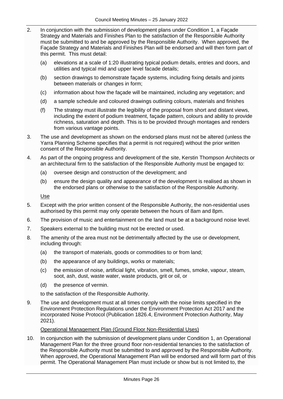- 2. In conjunction with the submission of development plans under Condition 1, a Façade Strategy and Materials and Finishes Plan to the satisfaction of the Responsible Authority must be submitted to and be approved by the Responsible Authority. When approved, the Façade Strategy and Materials and Finishes Plan will be endorsed and will then form part of this permit. This must detail:
	- (a) elevations at a scale of 1:20 illustrating typical podium details, entries and doors, and utilities and typical mid and upper level facade details;
	- (b) section drawings to demonstrate façade systems, including fixing details and joints between materials or changes in form;
	- (c) information about how the façade will be maintained, including any vegetation; and
	- (d) a sample schedule and coloured drawings outlining colours, materials and finishes
	- (f) The strategy must illustrate the legibility of the proposal from short and distant views, including the extent of podium treatment, façade pattern, colours and ability to provide richness, saturation and depth. This is to be provided through montages and renders from various vantage points.
- 3. The use and development as shown on the endorsed plans must not be altered (unless the Yarra Planning Scheme specifies that a permit is not required) without the prior written consent of the Responsible Authority.
- 4. As part of the ongoing progress and development of the site, Kerstin Thompson Architects or an architectural firm to the satisfaction of the Responsible Authority must be engaged to:
	- (a) oversee design and construction of the development; and
	- (b) ensure the design quality and appearance of the development is realised as shown in the endorsed plans or otherwise to the satisfaction of the Responsible Authority.

Use

- 5. Except with the prior written consent of the Responsible Authority, the non-residential uses authorised by this permit may only operate between the hours of 8am and 8pm.
- 6. The provision of music and entertainment on the land must be at a background noise level.
- 7. Speakers external to the building must not be erected or used.
- 8. The amenity of the area must not be detrimentally affected by the use or development, including through:
	- (a) the transport of materials, goods or commodities to or from land;
	- (b) the appearance of any buildings, works or materials;
	- (c) the emission of noise, artificial light, vibration, smell, fumes, smoke, vapour, steam, soot, ash, dust, waste water, waste products, grit or oil, or
	- (d) the presence of vermin.

to the satisfaction of the Responsible Authority.

9. The use and development must at all times comply with the noise limits specified in the Environment Protection Regulations under the Environment Protection Act 2017 and the incorporated Noise Protocol (Publication 1826.4, Environment Protection Authority, May 2021).

#### Operational Management Plan (Ground Floor Non-Residential Uses)

10. In conjunction with the submission of development plans under Condition 1, an Operational Management Plan for the three ground floor non-residential tenancies to the satisfaction of the Responsible Authority must be submitted to and approved by the Responsible Authority. When approved, the Operational Management Plan will be endorsed and will form part of this permit. The Operational Management Plan must include or show but is not limited to, the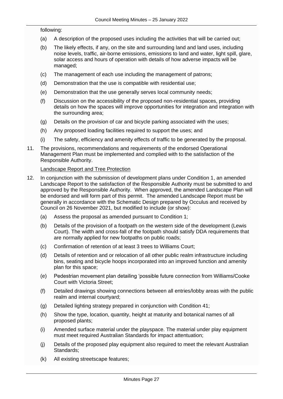#### following:

- (a) A description of the proposed uses including the activities that will be carried out;
- (b) The likely effects, if any, on the site and surrounding land and land uses, including noise levels, traffic, air-borne emissions, emissions to land and water, light spill, glare, solar access and hours of operation with details of how adverse impacts will be managed;
- (c) The management of each use including the management of patrons;
- (d) Demonstration that the use is compatible with residential use;
- (e) Demonstration that the use generally serves local community needs;
- (f) Discussion on the accessibility of the proposed non-residential spaces, providing details on how the spaces will improve opportunities for integration and integration with the surrounding area;
- (g) Details on the provision of car and bicycle parking associated with the uses;
- (h) Any proposed loading facilities required to support the uses; and
- (i) The safety, efficiency and amenity effects of traffic to be generated by the proposal.
- 11. The provisions, recommendations and requirements of the endorsed Operational Management Plan must be implemented and complied with to the satisfaction of the Responsible Authority.

#### Landscape Report and Tree Protection

- 12. In conjunction with the submission of development plans under Condition 1, an amended Landscape Report to the satisfaction of the Responsible Authority must be submitted to and approved by the Responsible Authority. When approved, the amended Landscape Plan will be endorsed and will form part of this permit. The amended Landscape Report must be generally in accordance with the Schematic Design prepared by Occulus and received by Council on 26 November 2021, but modified to include (or show):
	- (a) Assess the proposal as amended pursuant to Condition 1;
	- (b) Details of the provision of a footpath on the western side of the development (Lewis Court). The width and cross-fall of the footpath should satisfy DDA requirements that are normally applied for new footpaths on public roads;
	- (c) Confirmation of retention of at least 3 trees to Williams Court;
	- (d) Details of retention and or relocation of all other public realm infrastructure including bins, seating and bicycle hoops incorporated into an improved function and amenity plan for this space;
	- (e) Pedestrian movement plan detailing 'possible future connection from Williams/Cooke Court with Victoria Street;
	- (f) Detailed drawings showing connections between all entries/lobby areas with the public realm and internal courtyard;
	- (g) Detailed lighting strategy prepared in conjunction with Condition 41;
	- (h) Show the type, location, quantity, height at maturity and botanical names of all proposed plants;
	- (i) Amended surface material under the playspace. The material under play equipment must meet required Australian Standards for impact attentuation;
	- (j) Details of the proposed play equipment also required to meet the relevant Australian Standards;
	- (k) All existing streetscape features;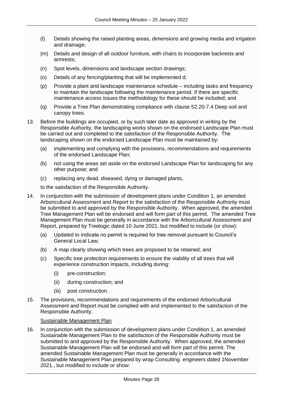- (l) Details showing the raised planting areas, dimensions and growing media and irrigation and drainage;
- (m) Details and design of all outdoor furniture, with chairs to incorporate backrests and armrests;
- (n) Spot levels, dimensions and landscape section drawings;
- (o) Details of any fencing/planting that will be implemented d;
- (p) Provide a plant and landscape maintenance schedule including tasks and frequency to maintain the landscape following the maintenance period. If there are specific maintenance access issues the methodology for these should be included; and
- (q) Provide a Tree Plan demonstrating compliance with clause 52.20-7.4 Deep soil and canopy trees.
- 13. Before the buildings are occupied, or by such later date as approved in writing by the Responsible Authority, the landscaping works shown on the endorsed Landscape Plan must be carried out and completed to the satisfaction of the Responsible Authority. The landscaping shown on the endorsed Landscape Plan must be maintained by:
	- (a) implementing and complying with the provisions, recommendations and requirements of the endorsed Landscape Plan;
	- (b) not using the areas set aside on the endorsed Landscape Plan for landscaping for any other purpose; and
	- (c) replacing any dead, diseased, dying or damaged plants,

to the satisfaction of the Responsible Authority.

- 14. In conjunction with the submission of development plans under Condition 1, an amended Arboricultural Assessment and Report to the satisfaction of the Responsible Authority must be submitted to and approved by the Responsible Authority. When approved, the amended Tree Management Plan will be endorsed and will form part of this permit. The amended Tree Management Plan must be generally in accordance with the Arboricultural Assessment and Report, prepared by Treelogic dated 10 June 2021, but modified to include (or show):
	- (a) Updated to indicate no permit is required for tree removal pursuant to Council's General Local Law;
	- (b) A map clearly showing which trees are proposed to be retained; and
	- (c) Specific tree protection requirements to ensure the viability of all trees that will experience construction impacts, including during:
		- (i) pre-construction;
		- (ii) during construction; and
		- (iii) post construction.
- 15. The provisions, recommendations and requirements of the endorsed Arboricultural Assessment and Report must be complied with and implemented to the satisfaction of the Responsible Authority.

#### Sustainable Management Plan

16. In conjunction with the submission of development plans under Condition 1, an amended Sustainable Management Plan to the satisfaction of the Responsible Authority must be submitted to and approved by the Responsible Authority. When approved, the amended Sustainable Management Plan will be endorsed and will form part of this permit. The amended Sustainable Management Plan must be generally in accordance with the Sustainable Management Plan prepared by wrap Consulting engineers dated 1November 2021., but modified to include or show: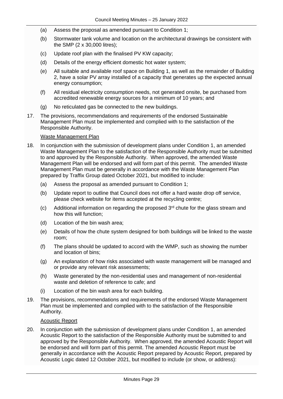- (a) Assess the proposal as amended pursuant to Condition 1;
- (b) Stormwater tank volume and location on the architectural drawings be consistent with the SMP (2 x 30,000 litres);
- (c) Update roof plan with the finalised PV KW capacity;
- (d) Details of the energy efficient domestic hot water system;
- (e) All suitable and available roof space on Building 1, as well as the remainder of Building 2, have a solar PV array installed of a capacity that generates up the expected annual energy consumption;
- (f) All residual electricity consumption needs, not generated onsite, be purchased from accredited renewable energy sources for a minimum of 10 years; and
- (g) No reticulated gas be connected to the new buildings.
- 17. The provisions, recommendations and requirements of the endorsed Sustainable Management Plan must be implemented and complied with to the satisfaction of the Responsible Authority.

#### Waste Management Plan

- 18. In conjunction with the submission of development plans under Condition 1, an amended Waste Management Plan to the satisfaction of the Responsible Authority must be submitted to and approved by the Responsible Authority. When approved, the amended Waste Management Plan will be endorsed and will form part of this permit. The amended Waste Management Plan must be generally in accordance with the Waste Management Plan prepared by Traffix Group dated October 2021, but modified to include:
	- (a) Assess the proposal as amended pursuant to Condition 1;
	- (b) Update report to outline that Council does not offer a hard waste drop off service, please check website for items accepted at the recycling centre;
	- $(c)$  Additional information on regarding the proposed  $3<sup>rd</sup>$  chute for the glass stream and how this will function;
	- (d) Location of the bin wash area;
	- (e) Details of how the chute system designed for both buildings will be linked to the waste room;
	- (f) The plans should be updated to accord with the WMP, such as showing the number and location of bins;
	- (g) An explanation of how risks associated with waste management will be managed and or provide any relevant risk assessments;
	- (h) Waste generated by the non-residential uses and management of non-residential waste and deletion of reference to cafe; and
	- (i) Location of the bin wash area for each building.
- 19. The provisions, recommendations and requirements of the endorsed Waste Management Plan must be implemented and complied with to the satisfaction of the Responsible Authority.

#### Acoustic Report

20. In conjunction with the submission of development plans under Condition 1, an amended Acoustic Report to the satisfaction of the Responsible Authority must be submitted to and approved by the Responsible Authority. When approved, the amended Acoustic Report will be endorsed and will form part of this permit. The amended Acoustic Report must be generally in accordance with the Acoustic Report prepared by Acoustic Report, prepared by Acoustic Logic dated 12 October 2021, but modified to include (or show, or address):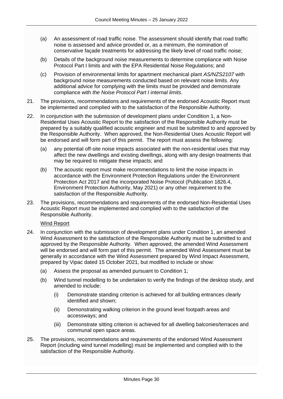- (a) An assessment of road traffic noise. The assessment should identify that road traffic noise is assessed and advice provided or, as a minimum, the nomination of conservative façade treatments for addressing the likely level of road traffic noise;
- (b) Details of the background noise measurements to determine compliance with Noise Protocol Part I limits and with the EPA Residential Noise Regulations; and
- (c) Provision of environmental limits for apartment mechanical plant *AS/NZS2107* with background noise measurements conducted based on relevant noise limits. Any additional advice for complying with the limits must be provided and demonstrate compliance with *the Noise Protocol Part I internal limits*.
- 21. The provisions, recommendations and requirements of the endorsed Acoustic Report must be implemented and complied with to the satisfaction of the Responsible Authority.
- 22. In conjunction with the submission of development plans under Condition 1, a Non-Residential Uses Acoustic Report to the satisfaction of the Responsible Authority must be prepared by a suitably qualified acoustic engineer and must be submitted to and approved by the Responsible Authority. When approved, the Non-Residential Uses Acoustic Report will be endorsed and will form part of this permit. The report must assess the following:
	- (a) any potential off-site noise impacts associated with the non-residential uses that may affect the new dwellings and existing dwellings, along with any design treatments that may be required to mitigate these impacts; and
	- (b) The acoustic report must make recommendations to limit the noise impacts in accordance with the Environment Protection Regulations under the Environment Protection Act 2017 and the incorporated Noise Protocol (Publication 1826.4, Environment Protection Authority, May 2021) or any other requirement to the satisfaction of the Responsible Authority.
- 23. The provisions, recommendations and requirements of the endorsed Non-Residential Uses Acoustic Report must be implemented and complied with to the satisfaction of the Responsible Authority.

#### Wind Report

- 24. In conjunction with the submission of development plans under Condition 1, an amended Wind Assessment to the satisfaction of the Responsible Authority must be submitted to and approved by the Responsible Authority. When approved, the amended Wind Assessment will be endorsed and will form part of this permit. The amended Wind Assessment must be generally in accordance with the Wind Assessment prepared by Wind Impact Assessment, prepared by Vipac dated 15 October 2021, but modified to include or show:
	- (a) Assess the proposal as amended pursuant to Condition 1;
	- (b) Wind tunnel modelling to be undertaken to verify the findings of the desktop study, and amended to include:
		- (i) Demonstrate standing criterion is achieved for all building entrances clearly identified and shown;
		- (ii) Demonstrating walking criterion in the ground level footpath areas and accessways; and
		- (iii) Demonstrate sitting criterion is achieved for all dwelling balconies/terraces and communal open space areas.
- 25. The provisions, recommendations and requirements of the endorsed Wind Assessment Report (including wind tunnel modelling) must be implemented and complied with to the satisfaction of the Responsible Authority.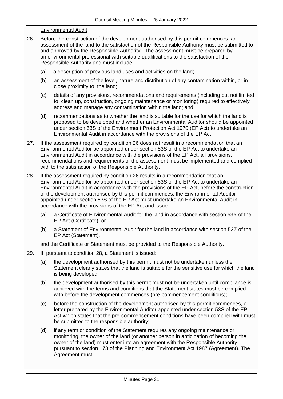#### Environmental Audit

- 26. Before the construction of the development authorised by this permit commences, an assessment of the land to the satisfaction of the Responsible Authority must be submitted to and approved by the Responsible Authority. The assessment must be prepared by an environmental professional with suitable qualifications to the satisfaction of the Responsible Authority and must include:
	- (a) a description of previous land uses and activities on the land;
	- (b) an assessment of the level, nature and distribution of any contamination within, or in close proximity to, the land;
	- (c) details of any provisions, recommendations and requirements (including but not limited to, clean up, construction, ongoing maintenance or monitoring) required to effectively address and manage any contamination within the land; and
	- (d) recommendations as to whether the land is suitable for the use for which the land is proposed to be developed and whether an Environmental Auditor should be appointed under section 53S of the Environment Protection Act 1970 (EP Act) to undertake an Environmental Audit in accordance with the provisions of the EP Act.
- 27. If the assessment required by condition 26 does not result in a recommendation that an Environmental Auditor be appointed under section 53S of the EP Act to undertake an Environmental Audit in accordance with the provisions of the EP Act, all provisions, recommendations and requirements of the assessment must be implemented and complied with to the satisfaction of the Responsible Authority.
- 28. If the assessment required by condition 26 results in a recommendation that an Environmental Auditor be appointed under section 53S of the EP Act to undertake an Environmental Audit in accordance with the provisions of the EP Act, before the construction of the development authorised by this permit commences, the Environmental Auditor appointed under section 53S of the EP Act must undertake an Environmental Audit in accordance with the provisions of the EP Act and issue:
	- (a) a Certificate of Environmental Audit for the land in accordance with section 53Y of the EP Act (Certificate); or
	- (b) a Statement of Environmental Audit for the land in accordance with section 53Z of the EP Act (Statement),

and the Certificate or Statement must be provided to the Responsible Authority.

- 29. If, pursuant to condition 28, a Statement is issued:
	- (a) the development authorised by this permit must not be undertaken unless the Statement clearly states that the land is suitable for the sensitive use for which the land is being developed;
	- (b) the development authorised by this permit must not be undertaken until compliance is achieved with the terms and conditions that the Statement states must be complied with before the development commences (pre-commencement conditions);
	- (c) before the construction of the development authorised by this permit commences, a letter prepared by the Environmental Auditor appointed under section 53S of the EP Act which states that the pre-commencement conditions have been complied with must be submitted to the responsible authority;
	- (d) if any term or condition of the Statement requires any ongoing maintenance or monitoring, the owner of the land (or another person in anticipation of becoming the owner of the land) must enter into an agreement with the Responsible Authority pursuant to [section 173](http://www.austlii.edu.au/au/legis/vic/consol_act/paea1987254/s173.html) of the [Planning and Environment](http://www.austlii.edu.au/au/legis/vic/consol_act/paea1987254/) [Act 1987](http://www.austlii.edu.au/au/legis/vic/consol_act/paea1987254/) (Agreement). The Agreement must: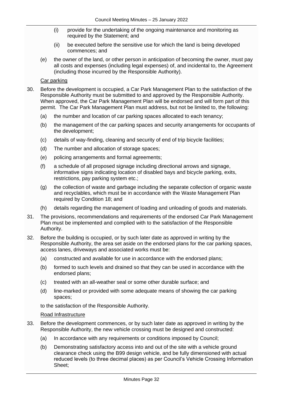- (i) provide for the undertaking of the ongoing maintenance and monitoring as required by the Statement; and
- (ii) be executed before the sensitive use for which the land is being developed commences; and
- (e) the owner of the land, or other person in anticipation of becoming the owner, must pay all costs and expenses (including legal expenses) of, and incidental to, the Agreement (including those incurred by the Responsible Authority).

#### Car parking

- 30. Before the development is occupied, a Car Park Management Plan to the satisfaction of the Responsible Authority must be submitted to and approved by the Responsible Authority. When approved, the Car Park Management Plan will be endorsed and will form part of this permit. The Car Park Management Plan must address, but not be limited to, the following:
	- (a) the number and location of car parking spaces allocated to each tenancy;
	- (b) the management of the car parking spaces and security arrangements for occupants of the development;
	- (c) details of way-finding, cleaning and security of end of trip bicycle facilities;
	- (d) The number and allocation of storage spaces;
	- (e) policing arrangements and formal agreements;
	- (f) a schedule of all proposed signage including directional arrows and signage, informative signs indicating location of disabled bays and bicycle parking, exits, restrictions, pay parking system etc.;
	- (g) the collection of waste and garbage including the separate collection of organic waste and recyclables, which must be in accordance with the Waste Management Plan required by Condition 18; and
	- (h) details regarding the management of loading and unloading of goods and materials.
- 31. The provisions, recommendations and requirements of the endorsed Car Park Management Plan must be implemented and complied with to the satisfaction of the Responsible Authority.
- 32. Before the building is occupied, or by such later date as approved in writing by the Responsible Authority, the area set aside on the endorsed plans for the car parking spaces, access lanes, driveways and associated works must be:
	- (a) constructed and available for use in accordance with the endorsed plans;
	- (b) formed to such levels and drained so that they can be used in accordance with the endorsed plans;
	- (c) treated with an all-weather seal or some other durable surface; and
	- (d) line-marked or provided with some adequate means of showing the car parking spaces;

to the satisfaction of the Responsible Authority.

#### Road Infrastructure

- 33. Before the development commences, or by such later date as approved in writing by the Responsible Authority, the new vehicle crossing must be designed and constructed:
	- (a) In accordance with any requirements or conditions imposed by Council;
	- (b) Demonstrating satisfactory access into and out of the site with a vehicle ground clearance check using the B99 design vehicle, and be fully dimensioned with actual reduced levels (to three decimal places) as per Council's Vehicle Crossing Information Sheet;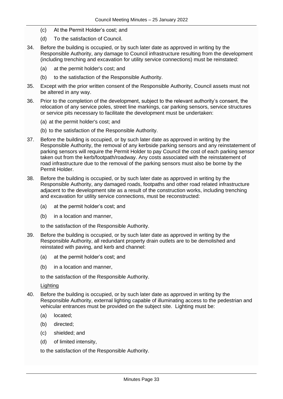- (c) At the Permit Holder's cost; and
- (d) To the satisfaction of Council.
- 34. Before the building is occupied, or by such later date as approved in writing by the Responsible Authority, any damage to Council infrastructure resulting from the development (including trenching and excavation for utility service connections) must be reinstated:
	- (a) at the permit holder's cost; and
	- (b) to the satisfaction of the Responsible Authority.
- 35. Except with the prior written consent of the Responsible Authority, Council assets must not be altered in any way.
- 36. Prior to the completion of the development, subject to the relevant authority's consent, the relocation of any service poles, street line markings, car parking sensors, service structures or service pits necessary to facilitate the development must be undertaken:
	- (a) at the permit holder's cost; and
	- (b) to the satisfaction of the Responsible Authority.
- 37. Before the building is occupied, or by such later date as approved in writing by the Responsible Authority, the removal of any kerbside parking sensors and any reinstatement of parking sensors will require the Permit Holder to pay Council the cost of each parking sensor taken out from the kerb/footpath/roadway. Any costs associated with the reinstatement of road infrastructure due to the removal of the parking sensors must also be borne by the Permit Holder.
- 38. Before the building is occupied, or by such later date as approved in writing by the Responsible Authority, any damaged roads, footpaths and other road related infrastructure adjacent to the development site as a result of the construction works, including trenching and excavation for utility service connections, must be reconstructed:
	- (a) at the permit holder's cost; and
	- (b) in a location and manner,

to the satisfaction of the Responsible Authority.

- 39. Before the building is occupied, or by such later date as approved in writing by the Responsible Authority, all redundant property drain outlets are to be demolished and reinstated with paving, and kerb and channel:
	- (a) at the permit holder's cost; and
	- (b) in a location and manner,

to the satisfaction of the Responsible Authority.

Lighting

- 40. Before the building is occupied, or by such later date as approved in writing by the Responsible Authority, external lighting capable of illuminating access to the pedestrian and vehicular entrances must be provided on the subject site. Lighting must be:
	- (a) located;
	- (b) directed;
	- (c) shielded; and
	- (d) of limited intensity,

to the satisfaction of the Responsible Authority.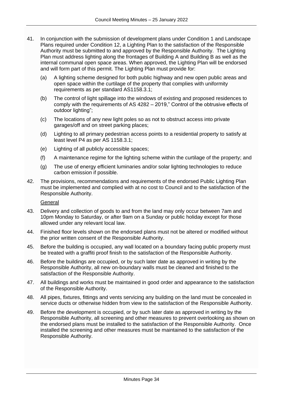- 41. In conjunction with the submission of development plans under Condition 1 and Landscape Plans required under Condition 12, a Lighting Plan to the satisfaction of the Responsible Authority must be submitted to and approved by the Responsible Authority. The Lighting Plan must address lighting along the frontages of Building A and Building B as well as the internal communal open space areas. When approved, the Lighting Plan will be endorsed and will form part of this permit. The Lighting Plan must provide for:
	- (a) A lighting scheme designed for both public highway and new open public areas and open space within the curtilage of the property that complies with uniformity requirements as per standard AS1158.3.1;
	- (b) The control of light spillage into the windows of existing and proposed residences to comply with the requirements of AS 4282 – 2019," Control of the obtrusive effects of outdoor lighting";
	- (c) The locations of any new light poles so as not to obstruct access into private garages/off and on street parking places;
	- (d) Lighting to all primary pedestrian access points to a residential property to satisfy at least level P4 as per AS 1158.3.1;
	- (e) Lighting of all publicly accessible spaces;
	- (f) A maintenance regime for the lighting scheme within the curtilage of the property; and
	- (g) The use of energy efficient luminaries and/or solar lighting technologies to reduce carbon emission if possible.
- 42. The provisions, recommendations and requirements of the endorsed Public Lighting Plan must be implemented and complied with at no cost to Council and to the satisfaction of the Responsible Authority.

General

- 43. Delivery and collection of goods to and from the land may only occur between 7am and 10pm Monday to Saturday, or after 9am on a Sunday or public holiday except for those allowed under any relevant local law.
- 44. Finished floor levels shown on the endorsed plans must not be altered or modified without the prior written consent of the Responsible Authority.
- 45. Before the building is occupied, any wall located on a boundary facing public property must be treated with a graffiti proof finish to the satisfaction of the Responsible Authority.
- 46. Before the buildings are occupied, or by such later date as approved in writing by the Responsible Authority, all new on-boundary walls must be cleaned and finished to the satisfaction of the Responsible Authority.
- 47. All buildings and works must be maintained in good order and appearance to the satisfaction of the Responsible Authority.
- 48. All pipes, fixtures, fittings and vents servicing any building on the land must be concealed in service ducts or otherwise hidden from view to the satisfaction of the Responsible Authority.
- 49. Before the development is occupied, or by such later date as approved in writing by the Responsible Authority, all screening and other measures to prevent overlooking as shown on the endorsed plans must be installed to the satisfaction of the Responsible Authority. Once installed the screening and other measures must be maintained to the satisfaction of the Responsible Authority.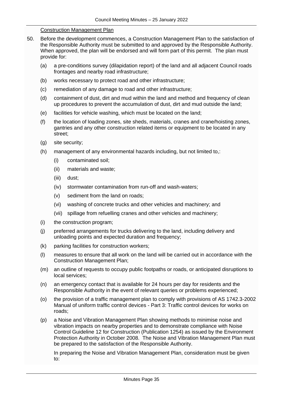### Construction Management Plan

- 50. Before the development commences, a Construction Management Plan to the satisfaction of the Responsible Authority must be submitted to and approved by the Responsible Authority. When approved, the plan will be endorsed and will form part of this permit. The plan must provide for:
	- (a) a pre-conditions survey (dilapidation report) of the land and all adjacent Council roads frontages and nearby road infrastructure;
	- (b) works necessary to protect road and other infrastructure;
	- (c) remediation of any damage to road and other infrastructure;
	- (d) containment of dust, dirt and mud within the land and method and frequency of clean up procedures to prevent the accumulation of dust, dirt and mud outside the land;
	- (e) facilities for vehicle washing, which must be located on the land;
	- (f) the location of loading zones, site sheds, materials, cranes and crane/hoisting zones, gantries and any other construction related items or equipment to be located in any street;
	- (g) site security;
	- (h) management of any environmental hazards including, but not limited to,:
		- (i) contaminated soil;
		- (ii) materials and waste;
		- (iii) dust;
		- (iv) stormwater contamination from run-off and wash-waters;
		- (v) sediment from the land on roads;
		- (vi) washing of concrete trucks and other vehicles and machinery; and
		- (vii) spillage from refuelling cranes and other vehicles and machinery;
	- (i) the construction program;
	- (j) preferred arrangements for trucks delivering to the land, including delivery and unloading points and expected duration and frequency;
	- (k) parking facilities for construction workers;
	- (l) measures to ensure that all work on the land will be carried out in accordance with the Construction Management Plan;
	- (m) an outline of requests to occupy public footpaths or roads, or anticipated disruptions to local services;
	- (n) an emergency contact that is available for 24 hours per day for residents and the Responsible Authority in the event of relevant queries or problems experienced;
	- (o) the provision of a traffic management plan to comply with provisions of AS 1742.3-2002 Manual of uniform traffic control devices - Part 3: Traffic control devices for works on roads;
	- (p) a Noise and Vibration Management Plan showing methods to minimise noise and vibration impacts on nearby properties and to demonstrate compliance with Noise Control Guideline 12 for Construction (Publication 1254) as issued by the Environment Protection Authority in October 2008. The Noise and Vibration Management Plan must be prepared to the satisfaction of the Responsible Authority.

In preparing the Noise and Vibration Management Plan, consideration must be given to: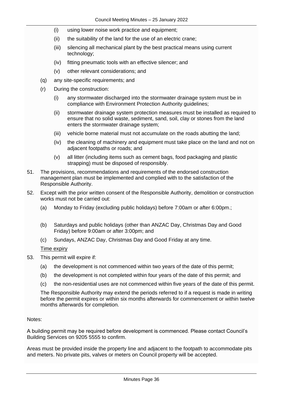- (i) using lower noise work practice and equipment;
- (ii) the suitability of the land for the use of an electric crane;
- (iii) silencing all mechanical plant by the best practical means using current technology;
- (iv) fitting pneumatic tools with an effective silencer; and
- (v) other relevant considerations; and
- (q) any site-specific requirements; and
- (r) During the construction:
	- (i) any stormwater discharged into the stormwater drainage system must be in compliance with Environment Protection Authority guidelines;
	- (ii) stormwater drainage system protection measures must be installed as required to ensure that no solid waste, sediment, sand, soil, clay or stones from the land enters the stormwater drainage system;
	- (iii) vehicle borne material must not accumulate on the roads abutting the land;
	- (iv) the cleaning of machinery and equipment must take place on the land and not on adjacent footpaths or roads; and
	- (v) all litter (including items such as cement bags, food packaging and plastic strapping) must be disposed of responsibly.
- 51. The provisions, recommendations and requirements of the endorsed construction management plan must be implemented and complied with to the satisfaction of the Responsible Authority.
- 52. Except with the prior written consent of the Responsible Authority, demolition or construction works must not be carried out:
	- (a) Monday to Friday (excluding public holidays) before 7:00am or after 6:00pm.;
	- (b) Saturdays and public holidays (other than ANZAC Day, Christmas Day and Good Friday) before 9:00am or after 3:00pm; and
	- (c) Sundays, ANZAC Day, Christmas Day and Good Friday at any time.

Time expiry

- 53. This permit will expire if:
	- (a) the development is not commenced within two years of the date of this permit;
	- (b) the development is not completed within four years of the date of this permit; and
	- (c) the non-residential uses are not commenced within five years of the date of this permit.

The Responsible Authority may extend the periods referred to if a request is made in writing before the permit expires or within six months afterwards for commencement or within twelve months afterwards for completion.

#### Notes:

A building permit may be required before development is commenced. Please contact Council's Building Services on 9205 5555 to confirm.

Areas must be provided inside the property line and adjacent to the footpath to accommodate pits and meters. No private pits, valves or meters on Council property will be accepted.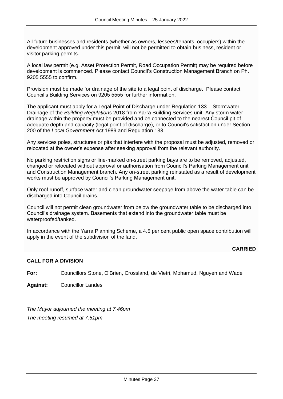All future businesses and residents (whether as owners, lessees/tenants, occupiers) within the development approved under this permit, will not be permitted to obtain business, resident or visitor parking permits.

A local law permit (e.g. Asset Protection Permit, Road Occupation Permit) may be required before development is commenced. Please contact Council's Construction Management Branch on Ph. 9205 5555 to confirm.

Provision must be made for drainage of the site to a legal point of discharge. Please contact Council's Building Services on 9205 5555 for further information.

The applicant must apply for a Legal Point of Discharge under Regulation 133 – Stormwater Drainage of the *Building Regulations* 2018 from Yarra Building Services unit. Any storm water drainage within the property must be provided and be connected to the nearest Council pit of adequate depth and capacity (legal point of discharge), or to Council's satisfaction under Section 200 of the *Local Government Act* 1989 and Regulation 133.

Any services poles, structures or pits that interfere with the proposal must be adjusted, removed or relocated at the owner's expense after seeking approval from the relevant authority.

No parking restriction signs or line-marked on-street parking bays are to be removed, adjusted, changed or relocated without approval or authorisation from Council's Parking Management unit and Construction Management branch. Any on-street parking reinstated as a result of development works must be approved by Council's Parking Management unit.

Only roof runoff, surface water and clean groundwater seepage from above the water table can be discharged into Council drains.

Council will not permit clean groundwater from below the groundwater table to be discharged into Council's drainage system. Basements that extend into the groundwater table must be waterproofed/tanked.

In accordance with the Yarra Planning Scheme, a 4.5 per cent public open space contribution will apply in the event of the subdivision of the land.

### **CARRIED**

#### **CALL FOR A DIVISION**

**For:** Councillors Stone, O'Brien, Crossland, de Vietri, Mohamud, Nguyen and Wade

**Against:** Councillor Landes

*The Mayor adjourned the meeting at 7.46pm The meeting resumed at 7.51pm*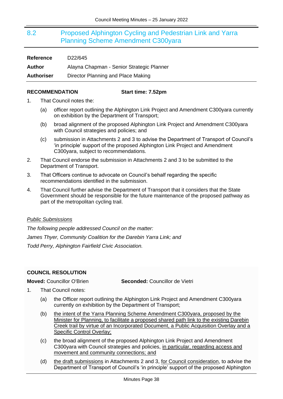## <span id="page-37-0"></span>8.2 Proposed Alphington Cycling and Pedestrian Link and Yarra Planning Scheme Amendment C300yara

| <b>Reference</b>  | D22/645                                   |
|-------------------|-------------------------------------------|
| Author            | Alayna Chapman - Senior Strategic Planner |
| <b>Authoriser</b> | Director Planning and Place Making        |

#### **RECOMMENDATION Start time: 7.52pm**

- 1. That Council notes the:
	- (a) officer report outlining the Alphington Link Project and Amendment C300yara currently on exhibition by the Department of Transport;
	- (b) broad alignment of the proposed Alphington Link Project and Amendment C300yara with Council strategies and policies; and
	- (c) submission in Attachments 2 and 3 to advise the Department of Transport of Council's 'in principle' support of the proposed Alphington Link Project and Amendment C300yara, subject to recommendations.
- 2. That Council endorse the submission in Attachments 2 and 3 to be submitted to the Department of Transport.
- 3. That Officers continue to advocate on Council's behalf regarding the specific recommendations identified in the submission.
- 4. That Council further advise the Department of Transport that it considers that the State Government should be responsible for the future maintenance of the proposed pathway as part of the metropolitan cycling trail.

#### *Public Submissions*

*The following people addressed Council on the matter: James Thyer, Community Coalition for the Darebin Yarra Link; and Todd Perry, Alphington Fairfield Civic Association.*

#### <span id="page-37-1"></span>**COUNCIL RESOLUTION**

**Moved:** Councillor O'Brien **Seconded:** Councillor de Vietri

- 1. That Council notes:
	- (a) the Officer report outlining the Alphington Link Project and Amendment C300yara currently on exhibition by the Department of Transport;
	- (b) the intent of the Yarra Planning Scheme Amendment C300yara, proposed by the Minister for Planning, to facilitate a proposed shared path link to the existing Darebin Creek trail by virtue of an Incorporated Document, a Public Acquisition Overlay and a Specific Control Overlay;
	- (c) the broad alignment of the proposed Alphington Link Project and Amendment C300yara with Council strategies and policies, in particular, regarding access and movement and community connections; and
	- (d) the draft submissions in Attachments 2 and 3, for Council consideration, to advise the Department of Transport of Council's 'in principle' support of the proposed Alphington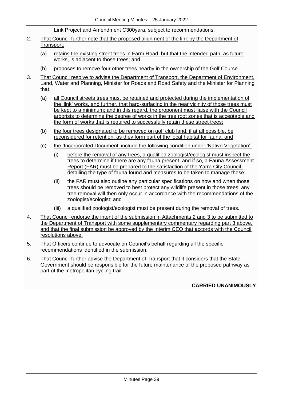Link Project and Amendment C300yara, subject to recommendations.

- 2. That Council further note that the proposed alignment of the link by the Department of Transport:
	- (a) retains the existing street trees in Farm Road, but that the intended path, as future works, is adjacent to those trees; and
	- (b) proposes to remove four other trees nearby in the ownership of the Golf Course.
- 3. That Council resolve to advise the Department of Transport, the Department of Environment, Land, Water and Planning, Minister for Roads and Road Safety and the Minister for Planning that:
	- (a) all Council streets trees must be retained and protected during the implementation of the 'link' works, and further, that hard-surfacing in the near vicinity of those trees must be kept to a minimum; and in this regard, the proponent must liaise with the Council arborists to determine the degree of works in the tree root zones that is acceptable and the form of works that is required to successfully retain these street trees;
	- (b) the four trees designated to be removed on golf club land, if at all possible, be reconsidered for retention, as they form part of the local habitat for fauna, and
	- (c) the 'Incorporated Document' include the following condition under 'Native Vegetation':
		- (i) before the removal of any trees, a qualified zoologist/ecologist must inspect the trees to determine if there are any fauna present, and if so, a Fauna Assessment Report (FAR) must be prepared to the satisfaction of the Yarra City Council, detailing the type of fauna found and measures to be taken to manage these;
		- (ii) the FAR must also outline any particular specifications on how and when those trees should be removed to best protect any wildlife present in those trees; any tree removal will then only occur in accordance with the recommendations of the zoologist/ecologist; and
		- (iii) a qualified zoologist/ecologist must be present during the removal of trees.
- 4. That Council endorse the intent of the submission in Attachments 2 and 3 to be submitted to the Department of Transport with some supplementary commentary regarding part 3 above, and that the final submission be approved by the Interim CEO that accords with the Council resolutions above.
- 5. That Officers continue to advocate on Council's behalf regarding all the specific recommendations identified in the submission.
- 6. That Council further advise the Department of Transport that it considers that the State Government should be responsible for the future maintenance of the proposed pathway as part of the metropolitan cycling trail.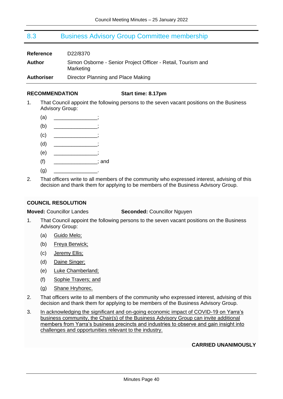## <span id="page-39-0"></span>8.3 Business Advisory Group Committee membership

| <b>Reference</b>  | D22/8370                                                                  |
|-------------------|---------------------------------------------------------------------------|
| Author            | Simon Osborne - Senior Project Officer - Retail, Tourism and<br>Marketing |
| <b>Authoriser</b> | Director Planning and Place Making                                        |

#### **RECOMMENDATION Start time: 8.17pm**

- 1. That Council appoint the following persons to the seven vacant positions on the Business Advisory Group:
	- $(a)$
	- $(b)$
	- $\left( c\right)$   $\qquad \qquad \qquad$
	- $(d)$
	- $(e)$
	- $(f)$   $\qquad \qquad$  ; and
	- $(a)$
- 2. That officers write to all members of the community who expressed interest, advising of this decision and thank them for applying to be members of the Business Advisory Group.

#### <span id="page-39-1"></span>**COUNCIL RESOLUTION**

#### **Moved:** Councillor Landes **Seconded:** Councillor Nguyen

- 1. That Council appoint the following persons to the seven vacant positions on the Business Advisory Group:
	- (a) Guido Melo;
	- (b) Freya Berwick;
	- (c) Jeremy Ellis;
	- (d) Daine Singer;
	- (e) Luke Chamberland;
	- (f) Sophie Travers; and
	- (g) Shane Hryhorec.
- 2. That officers write to all members of the community who expressed interest, advising of this decision and thank them for applying to be members of the Business Advisory Group.
- 3. In acknowledging the significant and on-going economic impact of COVID-19 on Yarra's business community, the Chair(s) of the Business Advisory Group can invite additional members from Yarra's business precincts and industries to observe and gain insight into challenges and opportunities relevant to the industry.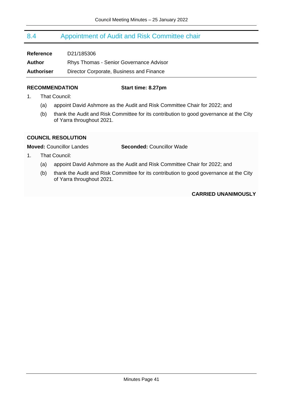## <span id="page-40-0"></span>8.4 Appointment of Audit and Risk Committee chair

| <b>Reference</b>  | D21/185306                                     |
|-------------------|------------------------------------------------|
| Author            | <b>Rhys Thomas - Senior Governance Advisor</b> |
| <b>Authoriser</b> | Director Corporate, Business and Finance       |

#### **RECOMMENDATION Start time: 8.27pm**

- 1. That Council:
	- (a) appoint David Ashmore as the Audit and Risk Committee Chair for 2022; and
	- (b) thank the Audit and Risk Committee for its contribution to good governance at the City of Yarra throughout 2021.

### <span id="page-40-1"></span>**COUNCIL RESOLUTION**

### **Moved:** Councillor Landes **Seconded:** Councillor Wade

- 1. That Council:
	- (a) appoint David Ashmore as the Audit and Risk Committee Chair for 2022; and
	- (b) thank the Audit and Risk Committee for its contribution to good governance at the City of Yarra throughout 2021.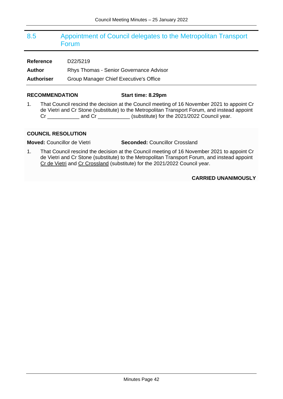## <span id="page-41-0"></span>8.5 Appointment of Council delegates to the Metropolitan Transport Forum

**Reference** D22/5219 **Author** Rhys Thomas - Senior Governance Advisor **Authoriser** Group Manager Chief Executive's Office

#### **RECOMMENDATION Start time: 8.29pm**

1. That Council rescind the decision at the Council meeting of 16 November 2021 to appoint Cr de Vietri and Cr Stone (substitute) to the Metropolitan Transport Forum, and instead appoint Cr \_\_\_\_\_\_\_\_\_\_\_ and Cr \_\_\_\_\_\_\_\_\_\_\_ (substitute) for the 2021/2022 Council year.

#### <span id="page-41-1"></span>**COUNCIL RESOLUTION**

**Moved:** Councillor de Vietri **Seconded:** Councillor Crossland

1. That Council rescind the decision at the Council meeting of 16 November 2021 to appoint Cr de Vietri and Cr Stone (substitute) to the Metropolitan Transport Forum, and instead appoint Cr de Vietri and Cr Crossland (substitute) for the 2021/2022 Council year.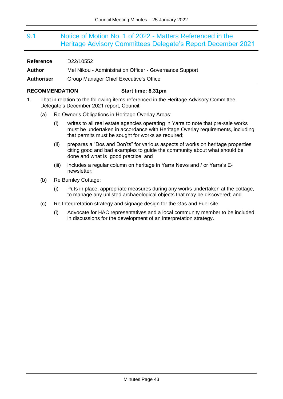## <span id="page-42-0"></span>9.1 Notice of Motion No. 1 of 2022 - Matters Referenced in the Heritage Advisory Committees Delegate's Report December 2021

| <b>Reference</b>  | D22/10552                                               |
|-------------------|---------------------------------------------------------|
| Author            | Mel Nikou - Administration Officer - Governance Support |
| <b>Authoriser</b> | Group Manager Chief Executive's Office                  |

#### **RECOMMENDATION Start time: 8.31pm**

- 1. That in relation to the following items referenced in the Heritage Advisory Committee Delegate's December 2021 report, Council:
	- (a) Re Owner's Obligations in Heritage Overlay Areas:
		- (i) writes to all real estate agencies operating in Yarra to note that pre-sale works must be undertaken in accordance with Heritage Overlay requirements, including that permits must be sought for works as required;
		- (ii) prepares a "Dos and Don'ts" for various aspects of works on heritage properties citing good and bad examples to guide the community about what should be done and what is good practice; and
		- (iii) includes a regular column on heritage in Yarra News and / or Yarra's Enewsletter;
	- (b) Re Burnley Cottage:
		- (i) Puts in place, appropriate measures during any works undertaken at the cottage, to manage any unlisted archaeological objects that may be discovered; and
	- (c) Re Interpretation strategy and signage design for the Gas and Fuel site:
		- (i) Advocate for HAC representatives and a local community member to be included in discussions for the development of an interpretation strategy.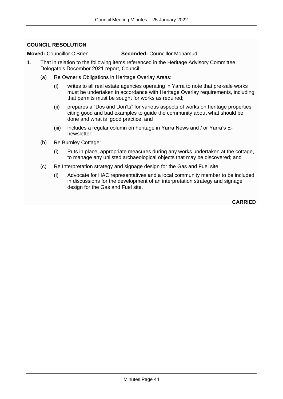### <span id="page-43-0"></span>**COUNCIL RESOLUTION**

#### **Moved:** Councillor O'Brien **Seconded:** Councillor Mohamud

- 1. That in relation to the following items referenced in the Heritage Advisory Committee Delegate's December 2021 report, Council:
	- (a) Re Owner's Obligations in Heritage Overlay Areas:
		- (i) writes to all real estate agencies operating in Yarra to note that pre-sale works must be undertaken in accordance with Heritage Overlay requirements, including that permits must be sought for works as required:
		- (ii) prepares a "Dos and Don'ts" for various aspects of works on heritage properties citing good and bad examples to guide the community about what should be done and what is good practice; and
		- (iii) includes a regular column on heritage in Yarra News and / or Yarra's Enewsletter;
	- (b) Re Burnley Cottage:
		- (i) Puts in place, appropriate measures during any works undertaken at the cottage, to manage any unlisted archaeological objects that may be discovered; and
	- (c) Re Interpretation strategy and signage design for the Gas and Fuel site:
		- (i) Advocate for HAC representatives and a local community member to be included in discussions for the development of an interpretation strategy and signage design for the Gas and Fuel site.

**CARRIED**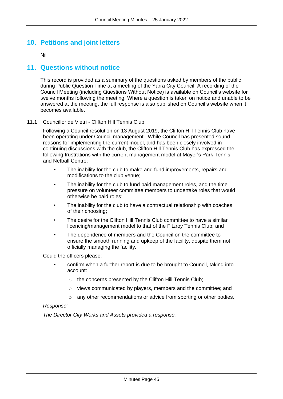## **10. Petitions and joint letters**

Nil

## **11. Questions without notice**

This record is provided as a summary of the questions asked by members of the public during Public Question Time at a meeting of the Yarra City Council. A recording of the Council Meeting (including Questions Without Notice) is available on Council's website for twelve months following the meeting. Where a question is taken on notice and unable to be answered at the meeting, the full response is also published on Council's website when it becomes available.

#### 11.1 Councillor de Vietri - Clifton Hill Tennis Club

Following a Council resolution on 13 August 2019, the Clifton Hill Tennis Club have been operating under Council management. While Council has presented sound reasons for implementing the current model, and has been closely involved in continuing discussions with the club, the Clifton Hill Tennis Club has expressed the following frustrations with the current management model at Mayor's Park Tennis and Netball Centre:

- The inability for the club to make and fund improvements, repairs and modifications to the club venue;
- The inability for the club to fund paid management roles, and the time pressure on volunteer committee members to undertake roles that would otherwise be paid roles;
- The inability for the club to have a contractual relationship with coaches of their choosing;
- The desire for the Clifton Hill Tennis Club committee to have a similar licencing/management model to that of the Fitzroy Tennis Club; and
- The dependence of members and the Council on the committee to ensure the smooth running and upkeep of the facility, despite them not officially managing the facility*.*

Could the officers please:

- confirm when a further report is due to be brought to Council, taking into account:
	- o the concerns presented by the Clifton Hill Tennis Club;
	- o views communicated by players, members and the committee; and
	- o any other recommendations or advice from sporting or other bodies.

#### *Response:*

*The Director City Works and Assets provided a response.*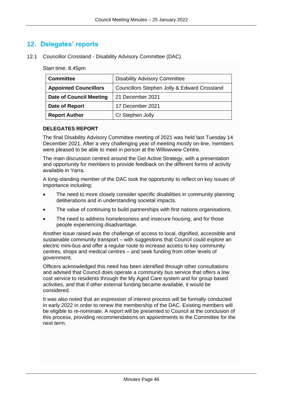## **12. Delegates' reports**

12.1 Councillor Crossland - Disability Advisory Committee (DAC)

Start time: 8.45pm

| <b>Committee</b>               | <b>Disability Advisory Committee</b>         |
|--------------------------------|----------------------------------------------|
| <b>Appointed Councillors</b>   | Councillors Stephen Jolly & Edward Crossland |
| <b>Date of Council Meeting</b> | 21 December 2021                             |
| Date of Report                 | 17 December 2021                             |
| <b>Report Author</b>           | Cr Stephen Jolly                             |

#### **DELEGATES REPORT**

The final Disability Advisory Committee meeting of 2021 was held last Tuesday 14 December 2021. After a very challenging year of meeting mostly on-line, members were pleased to be able to meet in person at the Willowview Centre.

The main discussion centred around the Get Active Strategy, with a presentation and opportunity for members to provide feedback on the different forms of activity available in Yarra.

A long-standing member of the DAC took the opportunity to reflect on key issues of importance including:

- The need to more closely consider specific disabilities in community planning deliberations and in understanding societal impacts.
- The value of continuing to build partnerships with first nations organisations.
- The need to address homelessness and insecure housing, and for those people experiencing disadvantage.

Another issue raised was the challenge of access to local, dignified, accessible and sustainable community transport – with suggestions that Council could explore an electric mini-bus and offer a regular route to increase access to key community centres, shops and medical centres – and seek funding from other levels of government.

Officers acknowledged this need has been identified through other consultations and advised that Council does operate a community bus service that offers a low cost service to residents through the My Aged Care system and for group based activities, and that if other external funding became available, it would be considered.

It was also noted that an expression of interest process will be formally conducted in early 2022 in order to renew the membership of the DAC. Existing members will be eligible to re-nominate. A report will be presented to Council at the conclusion of this process, providing recommendations on appointments to the Committee for the next term.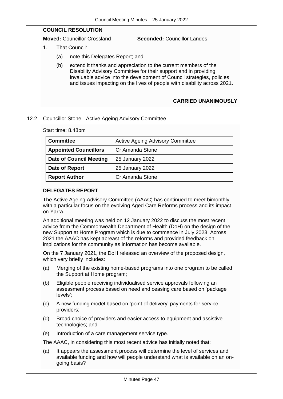### **COUNCIL RESOLUTION**

**Moved:** Councillor Crossland **Seconded:** Councillor Landes

- 1. That Council:
	- (a) note this Delegates Report; and
	- (b) extend it thanks and appreciation to the current members of the Disability Advisory Committee for their support and in providing invaluable advice into the development of Council strategies, policies and issues impacting on the lives of people with disability across 2021.

### **CARRIED UNANIMOUSLY**

#### 12.2 Councillor Stone - Active Ageing Advisory Committee

Start time: 8.48pm

| <b>Committee</b>               | <b>Active Ageing Advisory Committee</b> |
|--------------------------------|-----------------------------------------|
| <b>Appointed Councillors</b>   | Cr Amanda Stone                         |
| <b>Date of Council Meeting</b> | 25 January 2022                         |
| Date of Report                 | 25 January 2022                         |
| <b>Report Author</b>           | <b>Cr Amanda Stone</b>                  |

#### **DELEGATES REPORT**

The Active Ageing Advisory Committee (AAAC) has continued to meet bimonthly with a particular focus on the evolving Aged Care Reforms process and its impact on Yarra.

An additional meeting was held on 12 January 2022 to discuss the most recent advice from the Commonwealth Department of Health (DoH) on the design of the new Support at Home Program which is due to commence in July 2023. Across 2021 the AAAC has kept abreast of the reforms and provided feedback on implications for the community as information has become available.

On the 7 January 2021, the DoH released an overview of the proposed design, which very briefly includes:

- (a) Merging of the existing home-based programs into one program to be called the Support at Home program;
- (b) Eligible people receiving individualised service approvals following an assessment process based on need and ceasing care based on 'package levels';
- (c) A new funding model based on 'point of delivery' payments for service providers;
- (d) Broad choice of providers and easier access to equipment and assistive technologies; and
- (e) Introduction of a care management service type.

The AAAC, in considering this most recent advice has initially noted that:

(a) It appears the assessment process will determine the level of services and available funding and how will people understand what is available on an ongoing basis?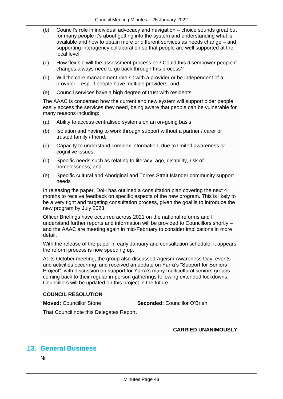- (b) Council's role in individual advocacy and navigation choice sounds great but for many people it's about getting into the system and understanding what is available and how to obtain more or different services as needs change – and supporting interagency collaboration so that people are well supported at the local level;
- (c) How flexible will the assessment process be? Could this disempower people if changes always need to go back through this process?
- (d) Will the care management role sit with a provider or be independent of a provider – esp. if people have multiple providers; and
- (e) Council services have a high degree of trust with residents.

The AAAC is concerned how the current and new system will support older people easily access the services they need, being aware that people can be vulnerable for many reasons including:

- (a) Ability to access centralised systems on an on-going basis;
- (b) Isolation and having to work through support without a partner / carer or trusted family / friend;
- (c) Capacity to understand complex information, due to limited awareness or cognitive issues:
- (d) Specific needs such as relating to literacy, age, disability, risk of homelessness; and
- (e) Specific cultural and Aboriginal and Torres Strait Islander community support needs

In releasing the paper, DoH has outlined a consultation plan covering the next 4 months to receive feedback on specific aspects of the new program. This is likely to be a very tight and targeting consultation process, given the goal is to introduce the new program by July 2023.

Officer Briefings have occurred across 2021 on the national reforms and I understand further reports and information will be provided to Councillors shortly – and the AAAC are meeting again in mid-February to consider implications in more detail.

With the release of the paper in early January and consultation schedule, it appears the reform process is now speeding up.

At its October meeting, the group also discussed Ageism Awareness Day, events and activities occurring, and received an update on Yarra's "Support for Seniors Project", with discussion on support for Yarra's many multicultural seniors groups coming back to their regular in-person gatherings following extended lockdowns. Councillors will be updated on this project in the future.

#### **COUNCIL RESOLUTION**

**Moved:** Councillor Stone **Seconded:** Councillor O'Brien

That Council note this Delegates Report.

**CARRIED UNANIMOUSLY**

## **13. General Business**

Nil